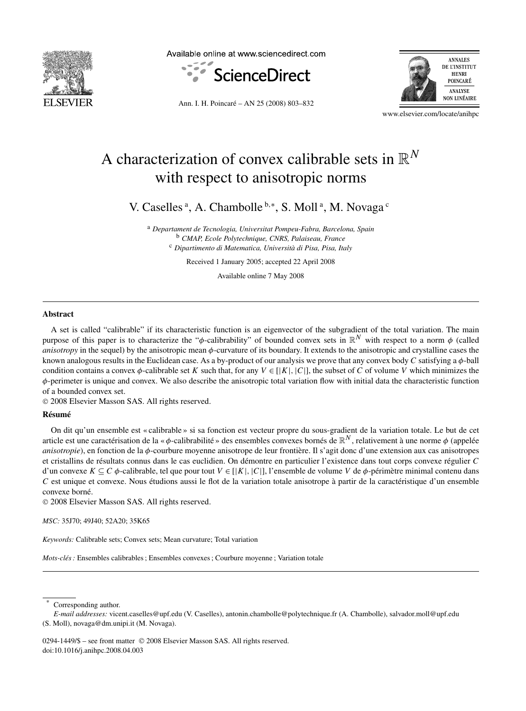

Available online at www.sciencedirect.com







www.elsevier.com/locate/anihpc

# A characterization of convex calibrable sets in R*<sup>N</sup>* with respect to anisotropic norms

V. Caselles<sup>a</sup>, A. Chambolle<sup>b,\*</sup>, S. Moll<sup>a</sup>, M. Novaga<sup>c</sup>

<sup>a</sup> *Departament de Tecnologia, Universitat Pompeu-Fabra, Barcelona, Spain* <sup>b</sup> *CMAP, Ecole Polytechnique, CNRS, Palaiseau, France* <sup>c</sup> *Dipartimento di Matematica, Università di Pisa, Pisa, Italy*

Received 1 January 2005; accepted 22 April 2008

Available online 7 May 2008

## **Abstract**

A set is called "calibrable" if its characteristic function is an eigenvector of the subgradient of the total variation. The main purpose of this paper is to characterize the "*φ*-calibrability" of bounded convex sets in R*<sup>N</sup>* with respect to a norm *φ* (called *anisotropy* in the sequel) by the anisotropic mean *φ*-curvature of its boundary. It extends to the anisotropic and crystalline cases the known analogous results in the Euclidean case. As a by-product of our analysis we prove that any convex body *C* satisfying a *φ*-ball condition contains a convex  $\phi$ -calibrable set *K* such that, for any  $V \in [K], |C|$ , the subset of *C* of volume *V* which minimizes the *φ*-perimeter is unique and convex. We also describe the anisotropic total variation flow with initial data the characteristic function of a bounded convex set.

© 2008 Elsevier Masson SAS. All rights reserved.

## **Résumé**

On dit qu'un ensemble est « calibrable » si sa fonction est vecteur propre du sous-gradient de la variation totale. Le but de cet article est une caractérisation de la « *φ*-calibrabilité » des ensembles convexes bornés de R*<sup>N</sup>* , relativement à une norme *φ* (appelée *anisotropie*), en fonction de la *φ*-courbure moyenne anisotrope de leur frontière. Il s'agit donc d'une extension aux cas anisotropes et cristallins de résultats connus dans le cas euclidien. On démontre en particulier l'existence dans tout corps convexe régulier *C* d'un convexe *K* ⊆ *C φ*-calibrable, tel que pour tout *V* ∈ [|*K*|*,*|*C*|], l'ensemble de volume *V* de *φ*-périmètre minimal contenu dans *C* est unique et convexe. Nous étudions aussi le flot de la variation totale anisotrope à partir de la caractéristique d'un ensemble convexe borné.

© 2008 Elsevier Masson SAS. All rights reserved.

*MSC:* 35J70; 49J40; 52A20; 35K65

*Keywords:* Calibrable sets; Convex sets; Mean curvature; Total variation

*Mots-clés :* Ensembles calibrables ; Ensembles convexes ; Courbure moyenne ; Variation totale

Corresponding author.

0294-1449/\$ – see front matter © 2008 Elsevier Masson SAS. All rights reserved. doi:10.1016/j.anihpc.2008.04.003

*E-mail addresses:* vicent.caselles@upf.edu (V. Caselles), antonin.chambolle@polytechnique.fr (A. Chambolle), salvador.moll@upf.edu (S. Moll), novaga@dm.unipi.it (M. Novaga).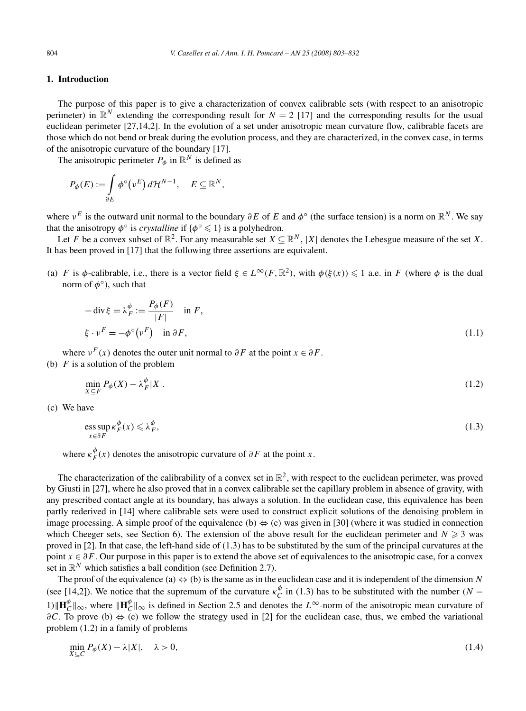# **1. Introduction**

The purpose of this paper is to give a characterization of convex calibrable sets (with respect to an anisotropic perimeter) in  $\mathbb{R}^N$  extending the corresponding result for  $N = 2$  [17] and the corresponding results for the usual euclidean perimeter [27,14,2]. In the evolution of a set under anisotropic mean curvature flow, calibrable facets are those which do not bend or break during the evolution process, and they are characterized, in the convex case, in terms of the anisotropic curvature of the boundary [17].

The anisotropic perimeter  $P_{\phi}$  in  $\mathbb{R}^{N}$  is defined as

$$
P_{\phi}(E) := \int_{\partial E} \phi^{\circ}(\nu^{E}) d\mathcal{H}^{N-1}, \quad E \subseteq \mathbb{R}^{N},
$$

where  $v^E$  is the outward unit normal to the boundary  $\partial E$  of  $E$  and  $\phi^{\circ}$  (the surface tension) is a norm on  $\mathbb{R}^N$ . We say that the anisotropy  $\phi^\circ$  is *crystalline* if  $\{\phi^\circ \leq 1\}$  is a polyhedron.

Let *F* be a convex subset of  $\mathbb{R}^2$ . For any measurable set  $X \subseteq \mathbb{R}^N$ , |X| denotes the Lebesgue measure of the set *X*. It has been proved in [17] that the following three assertions are equivalent.

(a) *F* is  $\phi$ -calibrable, i.e., there is a vector field  $\xi \in L^{\infty}(F, \mathbb{R}^2)$ , with  $\phi(\xi(x)) \leq 1$  a.e. in *F* (where  $\phi$  is the dual norm of *φ*◦), such that

$$
-\operatorname{div}\xi = \lambda_F^{\phi} := \frac{P_{\phi}(F)}{|F|} \quad \text{in } F,
$$
  

$$
\xi \cdot \nu^F = -\phi^{\circ}(\nu^F) \quad \text{in } \partial F,
$$
 (1.1)

where  $v^F(x)$  denotes the outer unit normal to  $\partial F$  at the point  $x \in \partial F$ .

(b)  $F$  is a solution of the problem

$$
\min_{X \subseteq F} P_{\phi}(X) - \lambda_F^{\phi}|X|.\tag{1.2}
$$

(c) We have

$$
\underset{x \in \partial F}{\text{ess sup}} \,\kappa_F^{\phi}(x) \leqslant \lambda_F^{\phi},\tag{1.3}
$$

where  $\kappa_F^{\phi}(x)$  denotes the anisotropic curvature of  $\partial F$  at the point *x*.

The characterization of the calibrability of a convex set in  $\mathbb{R}^2$ , with respect to the euclidean perimeter, was proved by Giusti in [27], where he also proved that in a convex calibrable set the capillary problem in absence of gravity, with any prescribed contact angle at its boundary, has always a solution. In the euclidean case, this equivalence has been partly rederived in [14] where calibrable sets were used to construct explicit solutions of the denoising problem in image processing. A simple proof of the equivalence  $(b) \Leftrightarrow (c)$  was given in [30] (where it was studied in connection which Cheeger sets, see Section 6). The extension of the above result for the euclidean perimeter and  $N \geq 3$  was proved in [2]. In that case, the left-hand side of (1.3) has to be substituted by the sum of the principal curvatures at the point *x* ∈  $\partial F$ . Our purpose in this paper is to extend the above set of equivalences to the anisotropic case, for a convex set in  $\mathbb{R}^N$  which satisfies a ball condition (see Definition 2.7).

The proof of the equivalence (a)  $\Leftrightarrow$  (b) is the same as in the euclidean case and it is independent of the dimension *N* (see [14,2]). We notice that the supremum of the curvature  $\kappa_C^{\phi}$  in (1.3) has to be substituted with the number  $(N - \frac{1}{2})$ 1)  $\|\mathbf{H}_C^{\phi}\|_{\infty}$ , where  $\|\mathbf{H}_C^{\phi}\|_{\infty}$  is defined in Section 2.5 and denotes the  $L^{\infty}$ -norm of the anisotropic mean curvature of *∂C*. To prove (b)  $\Leftrightarrow$  (c) we follow the strategy used in [2] for the euclidean case, thus, we embed the variational problem (1.2) in a family of problems

$$
\min_{X \subseteq C} P_{\phi}(X) - \lambda |X|, \quad \lambda > 0,
$$
\n(1.4)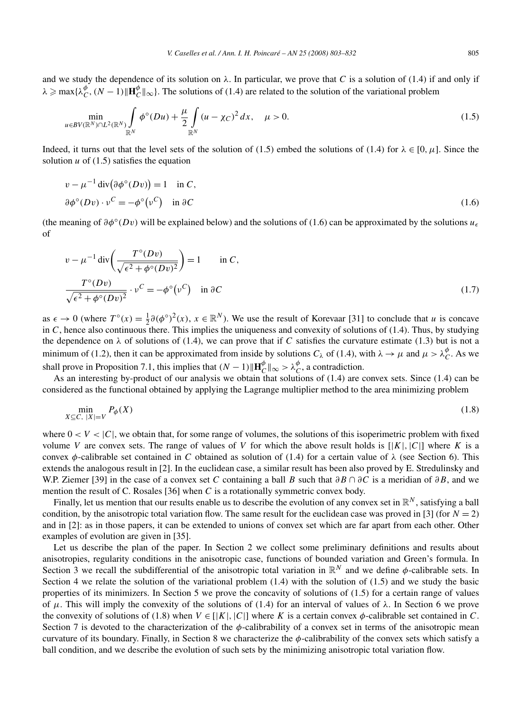and we study the dependence of its solution on  $\lambda$ . In particular, we prove that *C* is a solution of (1.4) if and only if  $\lambda \ge \max{\{\lambda_C^{\phi}, (N-1) \| \mathbf{H}_C^{\phi} \|_{\infty}\}}$ . The solutions of (1.4) are related to the solution of the variational problem

$$
\min_{u \in BV(\mathbb{R}^N) \cap L^2(\mathbb{R}^N)} \int_{\mathbb{R}^N} \phi^{\circ}(Du) + \frac{\mu}{2} \int_{\mathbb{R}^N} (u - \chi_C)^2 dx, \quad \mu > 0.
$$
\n(1.5)

Indeed, it turns out that the level sets of the solution of (1.5) embed the solutions of (1.4) for  $\lambda \in [0, \mu]$ . Since the solution  $u$  of (1.5) satisfies the equation

$$
v - \mu^{-1} \operatorname{div}(\partial \phi^{\circ}(Dv)) = 1 \quad \text{in } C,
$$
  

$$
\partial \phi^{\circ}(Dv) \cdot v^{C} = -\phi^{\circ}(\nu^{C}) \quad \text{in } \partial C
$$
 (1.6)

(the meaning of  $\partial \phi^{\circ}(Dv)$  will be explained below) and the solutions of (1.6) can be approximated by the solutions  $u_{\epsilon}$ of

$$
v - \mu^{-1} \operatorname{div} \left( \frac{T^{\circ} (Dv)}{\sqrt{\epsilon^2 + \phi^{\circ} (Dv)^2}} \right) = 1 \quad \text{in } C,
$$
  

$$
\frac{T^{\circ} (Dv)}{\sqrt{\epsilon^2 + \phi^{\circ} (Dv)^2}} \cdot v^C = -\phi^{\circ} (v^C) \quad \text{in } \partial C
$$
 (1.7)

as  $\epsilon \to 0$  (where  $T^{\circ}(x) = \frac{1}{2}\partial(\phi^{\circ})^2(x)$ ,  $x \in \mathbb{R}^N$ ). We use the result of Korevaar [31] to conclude that *u* is concave in  $C$ , hence also continuous there. This implies the uniqueness and convexity of solutions of (1.4). Thus, by studying the dependence on  $\lambda$  of solutions of (1.4), we can prove that if *C* satisfies the curvature estimate (1.3) but is not a minimum of (1.2), then it can be approximated from inside by solutions  $C_\lambda$  of (1.4), with  $\lambda \to \mu$  and  $\mu > \lambda_C^{\phi}$ . As we shall prove in Proposition 7.1, this implies that  $(N-1)\|\mathbf{H}_C^{\phi}\|_{\infty} > \lambda_C^{\phi}$ , a contradiction.

As an interesting by-product of our analysis we obtain that solutions of (1.4) are convex sets. Since (1.4) can be considered as the functional obtained by applying the Lagrange multiplier method to the area minimizing problem

$$
\min_{X \subseteq C, |X| = V} P_{\phi}(X) \tag{1.8}
$$

where  $0 < V < |C|$ , we obtain that, for some range of volumes, the solutions of this isoperimetric problem with fixed volume *V* are convex sets. The range of values of *V* for which the above result holds is  $[|K|, |C|]$  where *K* is a convex *φ*-calibrable set contained in *C* obtained as solution of (1.4) for a certain value of  $\lambda$  (see Section 6). This extends the analogous result in [2]. In the euclidean case, a similar result has been also proved by E. Stredulinsky and W.P. Ziemer [39] in the case of a convex set *C* containing a ball *B* such that *∂B* ∩ *∂C* is a meridian of *∂B*, and we mention the result of C. Rosales [36] when *C* is a rotationally symmetric convex body.

Finally, let us mention that our results enable us to describe the evolution of any convex set in  $\mathbb{R}^N$ , satisfying a ball condition, by the anisotropic total variation flow. The same result for the euclidean case was proved in [3] (for  $N = 2$ ) and in [2]: as in those papers, it can be extended to unions of convex set which are far apart from each other. Other examples of evolution are given in [35].

Let us describe the plan of the paper. In Section 2 we collect some preliminary definitions and results about anisotropies, regularity conditions in the anisotropic case, functions of bounded variation and Green's formula. In Section 3 we recall the subdifferential of the anisotropic total variation in  $\mathbb{R}^N$  and we define  $\phi$ -calibrable sets. In Section 4 we relate the solution of the variational problem (1.4) with the solution of (1.5) and we study the basic properties of its minimizers. In Section 5 we prove the concavity of solutions of (1.5) for a certain range of values of *μ*. This will imply the convexity of the solutions of (1.4) for an interval of values of  $λ$ . In Section 6 we prove the convexity of solutions of (1.8) when  $V \in |K|, |C|$  where K is a certain convex  $\phi$ -calibrable set contained in C. Section 7 is devoted to the characterization of the *φ*-calibrability of a convex set in terms of the anisotropic mean curvature of its boundary. Finally, in Section 8 we characterize the *φ*-calibrability of the convex sets which satisfy a ball condition, and we describe the evolution of such sets by the minimizing anisotropic total variation flow.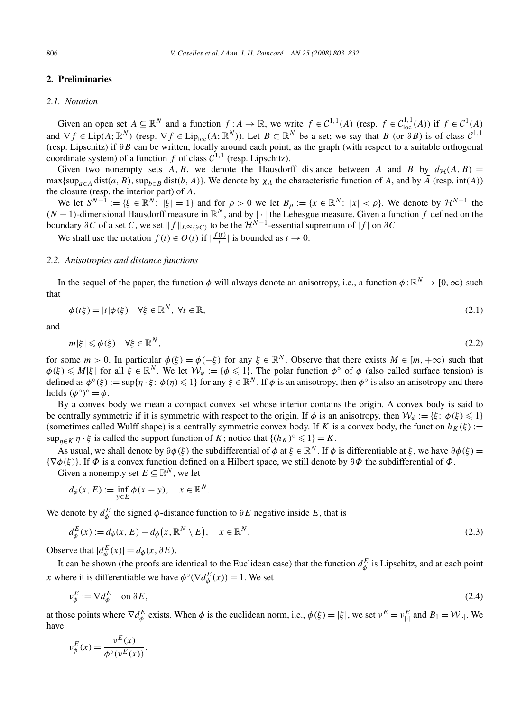# **2. Preliminaries**

#### *2.1. Notation*

Given an open set  $A \subseteq \mathbb{R}^N$  and a function  $f : A \to \mathbb{R}$ , we write  $f \in C^{1,1}(A)$  (resp.  $f \in C^{1,1}_{loc}(A)$ ) if  $f \in C^1(A)$ and  $\nabla f \in \text{Lip}(A; \mathbb{R}^N)$  (resp.  $\nabla f \in \text{Lip}_{loc}(A; \mathbb{R}^N)$ ). Let  $B \subset \mathbb{R}^N$  be a set; we say that *B* (or  $\partial B$ ) is of class  $C^{1,1}$ (resp. Lipschitz) if *∂B* can be written, locally around each point, as the graph (with respect to a suitable orthogonal coordinate system) of a function *f* of class  $C^{1,1}$  (resp. Lipschitz).

Given two nonempty sets  $\hat{A}$ ,  $\hat{B}$ , we denote the Hausdorff distance between  $\hat{A}$  and  $\hat{B}$  by  $d_{\hat{H}}(\hat{A},\hat{B}) =$  $\max{\sup_{a \in A} \text{dist}(a, B), \sup_{b \in B} \text{dist}(b, A)}$ . We denote by  $\chi_A$  the characteristic function of *A*, and by  $\overline{A}$  (resp. int(*A*)) the closure (resp. the interior part) of *A*.

We let  $S^{N-1} := \{ \xi \in \mathbb{R}^N : |\xi| = 1 \}$  and for  $\rho > 0$  we let  $B_\rho := \{ x \in \mathbb{R}^N : |x| < \rho \}$ . We denote by  $\mathcal{H}^{N-1}$  the  $(N-1)$ -dimensional Hausdorff measure in  $\mathbb{R}^N$ , and by  $|\cdot|$  the Lebesgue measure. Given a function *f* defined on the boundary  $\partial C$  of a set *C*, we set  $||f||_{L^{\infty}(\partial C)}$  to be the  $\mathcal{H}^{N-1}$ -essential supremum of  $|f|$  on  $\partial C$ .

We shall use the notation  $f(t) \in O(t)$  if  $\left| \frac{f(t)}{t} \right|$  is bounded as  $t \to 0$ .

## *2.2. Anisotropies and distance functions*

In the sequel of the paper, the function  $\phi$  will always denote an anisotropy, i.e., a function  $\phi : \mathbb{R}^N \to [0, \infty)$  such that

$$
\phi(t\xi) = |t|\phi(\xi) \quad \forall \xi \in \mathbb{R}^N, \ \forall t \in \mathbb{R},\tag{2.1}
$$

and

$$
m|\xi| \leqslant \phi(\xi) \quad \forall \xi \in \mathbb{R}^N,\tag{2.2}
$$

for some  $m > 0$ . In particular  $\phi(\xi) = \phi(-\xi)$  for any  $\xi \in \mathbb{R}^N$ . Observe that there exists  $M \in [m, +\infty)$  such that  $\phi(\xi) \leq M|\xi|$  for all  $\xi \in \mathbb{R}^N$ . We let  $\mathcal{W}_{\phi} := {\phi \leq 1}$ . The polar function  $\phi^{\circ}$  of  $\phi$  (also called surface tension) is defined as  $\phi^{\circ}(\xi) := \sup\{\eta \cdot \xi : \phi(\eta) \leq 1\}$  for any  $\xi \in \mathbb{R}^N$ . If  $\phi$  is an anisotropy, then  $\phi^{\circ}$  is also an anisotropy and there holds  $(\phi^{\circ})^{\circ} = \phi$ .

By a convex body we mean a compact convex set whose interior contains the origin. A convex body is said to be centrally symmetric if it is symmetric with respect to the origin. If  $\phi$  is an anisotropy, then  $\mathcal{W}_{\phi} := \{\xi : \phi(\xi) \leq 1\}$ (sometimes called Wulff shape) is a centrally symmetric convex body. If *K* is a convex body, the function  $h_K(\xi)$  :=  $\sup_{\eta \in K} \eta \cdot \xi$  is called the support function of *K*; notice that  $\{(h_K)^\circ \leq 1\} = K$ .

As usual, we shall denote by  $\partial \phi(\xi)$  the subdifferential of  $\phi$  at  $\xi \in \mathbb{R}^N$ . If  $\phi$  is differentiable at  $\xi$ , we have  $\partial \phi(\xi)$  = {∇*φ(ξ)*}. If *Φ* is a convex function defined on a Hilbert space, we still denote by *∂Φ* the subdifferential of *Φ*.

Given a nonempty set  $E \subseteq \mathbb{R}^N$ , we let

$$
d_{\phi}(x, E) := \inf_{y \in E} \phi(x - y), \quad x \in \mathbb{R}^N.
$$

We denote by  $d_{\phi}^{E}$  the signed  $\phi$ -distance function to  $\partial E$  negative inside E, that is

$$
d_{\phi}^{E}(x) := d_{\phi}(x, E) - d_{\phi}\big(x, \mathbb{R}^{N} \setminus E\big), \quad x \in \mathbb{R}^{N}.
$$
\n
$$
(2.3)
$$

Observe that  $|d_{\phi}^{E}(x)| = d_{\phi}(x, \partial E)$ .

It can be shown (the proofs are identical to the Euclidean case) that the function  $d_{\phi}^E$  is Lipschitz, and at each point *x* where it is differentiable we have  $\phi^{\circ}(\nabla d^E_{\phi}(x)) = 1$ . We set

$$
\nu_{\phi}^E := \nabla d_{\phi}^E \quad \text{on } \partial E,\tag{2.4}
$$

at those points where  $\nabla d_{\phi}^{E}$  exists. When  $\phi$  is the euclidean norm, i.e.,  $\phi(\xi) = |\xi|$ , we set  $v^{E} = v_{|\cdot|}^{E}$  and  $B_1 = \mathcal{W}_{|\cdot|}$ . We have

$$
\nu_{\phi}^{E}(x) = \frac{\nu^{E}(x)}{\phi^{\circ}(\nu^{E}(x))}.
$$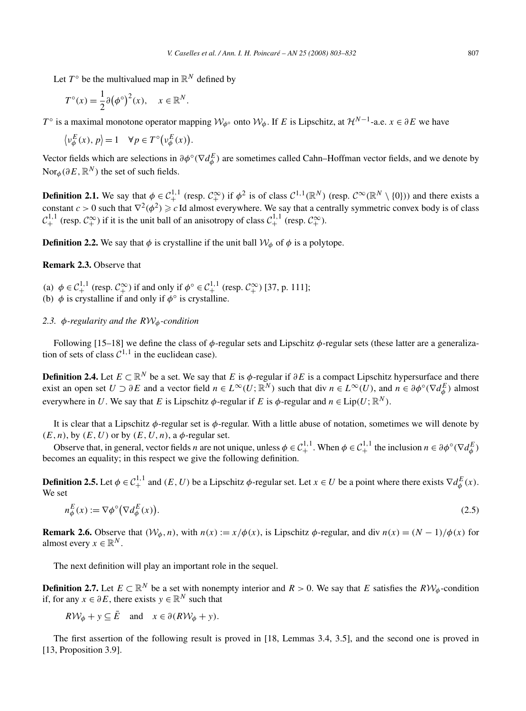Let  $T^{\circ}$  be the multivalued map in  $\mathbb{R}^{N}$  defined by

$$
T^{\circ}(x) = \frac{1}{2}\partial(\phi^{\circ})^{2}(x), \quad x \in \mathbb{R}^{N}.
$$

*T*<sup>∘</sup> is a maximal monotone operator mapping  $W_{\phi}$ ∘ onto  $W_{\phi}$ . If *E* is Lipschitz, at  $\mathcal{H}^{N-1}$ -a.e.  $x \in \partial E$  we have

$$
\langle v_{\phi}^{E}(x), p \rangle = 1 \quad \forall p \in T^{\circ}(\nu_{\phi}^{E}(x)).
$$

Vector fields which are selections in  $\partial \phi^{\circ}(\nabla d_{\phi}^E)$  are sometimes called Cahn–Hoffman vector fields, and we denote by  $\text{Nor}_{\phi}(\partial E, \mathbb{R}^N)$  the set of such fields.

**Definition 2.1.** We say that  $\phi \in C_+^{1,1}$  (resp.  $C_+^{\infty}$ ) if  $\phi^2$  is of class  $C^{1,1}(\mathbb{R}^N)$  (resp.  $C^{\infty}(\mathbb{R}^N \setminus \{0\})$ ) and there exists a constant  $c > 0$  such that  $\nabla^2(\phi^2) \geq c$  Id almost everywhere. We say that a centrally symmetric convex body is of class  $\mathcal{C}_+^{1,1}$  (resp.  $\mathcal{C}_+^{\infty}$ ) if it is the unit ball of an anisotropy of class  $\mathcal{C}_+^{1,1}$  (resp.  $\mathcal{C}_+^{\infty}$ ).

**Definition 2.2.** We say that  $\phi$  is crystalline if the unit ball  $W_{\phi}$  of  $\phi$  is a polytope.

# **Remark 2.3.** Observe that

(a)  $\phi \in C_+^{1,1}$  (resp.  $C_+^{\infty}$ ) if and only if  $\phi^{\circ} \in C_+^{1,1}$  (resp.  $C_+^{\infty}$ ) [37, p. 111]; (b)  $\phi$  is crystalline if and only if  $\phi^\circ$  is crystalline.

# *2.3. φ-regularity and the R*W*φ-condition*

Following [15–18] we define the class of *φ*-regular sets and Lipschitz *φ*-regular sets (these latter are a generalization of sets of class  $C^{1,1}$  in the euclidean case).

**Definition 2.4.** Let  $E \subset \mathbb{R}^N$  be a set. We say that *E* is  $\phi$ -regular if  $\partial E$  is a compact Lipschitz hypersurface and there exist an open set  $U \supset \partial E$  and a vector field  $n \in L^{\infty}(U; \mathbb{R}^{N})$  such that div  $n \in L^{\infty}(U)$ , and  $n \in \partial \phi^{\circ}(\nabla d_{\phi}^{E})$  almost everywhere in *U*. We say that *E* is Lipschitz  $\phi$ -regular if *E* is  $\phi$ -regular and  $n \in Lip(U; \mathbb{R}^N)$ .

It is clear that a Lipschitz *φ*-regular set is *φ*-regular. With a little abuse of notation, sometimes we will denote by  $(E, n)$ , by  $(E, U)$  or by  $(E, U, n)$ , a  $\phi$ -regular set.

Observe that, in general, vector fields *n* are not unique, unless  $\phi \in C_+^{1,1}$ . When  $\phi \in C_+^{1,1}$  the inclusion  $n \in \partial \phi^\circ(\nabla d_\phi^E)$ becomes an equality; in this respect we give the following definition.

**Definition 2.5.** Let  $\phi \in C^{1,1}_+$  and  $(E, U)$  be a Lipschitz  $\phi$ -regular set. Let  $x \in U$  be a point where there exists  $\nabla d^E_{\phi}(x)$ . We set

$$
n_{\phi}^{E}(x) := \nabla \phi^{\circ} \big( \nabla d_{\phi}^{E}(x) \big). \tag{2.5}
$$

**Remark 2.6.** Observe that  $(W_\phi, n)$ , with  $n(x) := x/\phi(x)$ , is Lipschitz  $\phi$ -regular, and div  $n(x) = (N-1)/\phi(x)$  for almost every  $x \in \mathbb{R}^N$ .

The next definition will play an important role in the sequel.

**Definition 2.7.** Let  $E \subset \mathbb{R}^N$  be a set with nonempty interior and  $R > 0$ . We say that *E* satisfies the  $R\mathcal{W}_{\phi}$ -condition if, for any *x* ∈  $\partial E$ , there exists  $y \in \mathbb{R}^N$  such that

 $RW_{\phi} + y \subseteq \overline{E}$  and  $x \in \partial (RW_{\phi} + y)$ .

The first assertion of the following result is proved in [18, Lemmas 3.4, 3.5], and the second one is proved in [13, Proposition 3.9].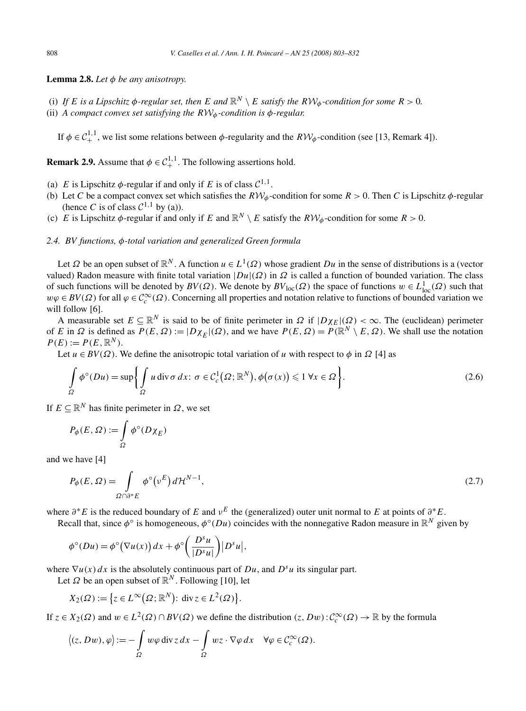**Lemma 2.8.** *Let*  $\phi$  *be any anisotropy.* 

- (i) If *E* is a Lipschitz  $\phi$ -regular set, then *E* and  $\mathbb{R}^N \setminus E$  satisfy the  $RW_{\phi}$ -condition for some  $R > 0$ .
- (ii) *A compact convex set satisfying the R*W*φ-condition is φ-regular.*

If  $\phi \in C_+^{1,1}$ , we list some relations between  $\phi$ -regularity and the  $RV\phi$ -condition (see [13, Remark 4]).

**Remark 2.9.** Assume that  $\phi \in C_+^{1,1}$ . The following assertions hold.

- (a) *E* is Lipschitz  $\phi$ -regular if and only if *E* is of class  $C^{1,1}$ .
- (b) Let *C* be a compact convex set which satisfies the  $R\mathcal{W}_{\phi}$ -condition for some  $R > 0$ . Then *C* is Lipschitz  $\phi$ -regular (hence *C* is of class  $C^{1,1}$  by (a)).
- (c) *E* is Lipschitz  $\phi$ -regular if and only if *E* and  $\mathbb{R}^N \setminus E$  satisfy the  $R\mathcal{W}_\phi$ -condition for some  $R > 0$ .

# *2.4. BV functions, φ-total variation and generalized Green formula*

Let  $\Omega$  be an open subset of  $\mathbb{R}^N$ . A function  $u \in L^1(\Omega)$  whose gradient  $Du$  in the sense of distributions is a (vector valued) Radon measure with finite total variation  $|Du|(\Omega)$  in  $\Omega$  is called a function of bounded variation. The class of such functions will be denoted by  $BV(\Omega)$ . We denote by  $BV_{loc}(\Omega)$  the space of functions  $w \in L^1_{loc}(\Omega)$  such that  $w\varphi \in BV(\Omega)$  for all  $\varphi \in C_c^{\infty}(\Omega)$ . Concerning all properties and notation relative to functions of bounded variation we will follow [6].

A measurable set  $E \subseteq \mathbb{R}^N$  is said to be of finite perimeter in  $\Omega$  if  $|D\chi_E|(\Omega) < \infty$ . The (euclidean) perimeter of *E* in  $\Omega$  is defined as  $P(E, \Omega) := |D \chi_E|(\Omega)$ , and we have  $P(E, \Omega) = P(\mathbb{R}^N \setminus E, \Omega)$ . We shall use the notation  $P(E) := P(E, \mathbb{R}^N)$ .

Let  $u \in BV(\Omega)$ . We define the anisotropic total variation of *u* with respect to  $\phi$  in  $\Omega$  [4] as

$$
\int_{\Omega} \phi^{\circ}(Du) = \sup \left\{ \int_{\Omega} u \operatorname{div} \sigma \, dx \colon \sigma \in C_c^1(\Omega; \mathbb{R}^N), \phi(\sigma(x)) \leq 1 \, \forall x \in \Omega \right\}.
$$
\n(2.6)

If *E* ⊆ R*<sup>N</sup>* has finite perimeter in *Ω*, we set

$$
P_{\phi}(E,\Omega):=\intop_{\Omega}\phi^{\circ}(D\chi_{E})
$$

and we have [4]

$$
P_{\phi}(E,\Omega) = \int_{\Omega \cap \partial^* E} \phi^{\circ}(\nu^E) d\mathcal{H}^{N-1},\tag{2.7}
$$

where  $\partial^* E$  is the reduced boundary of *E* and  $\nu^E$  the (generalized) outer unit normal to *E* at points of  $\partial^* E$ .

Recall that, since  $\phi^\circ$  is homogeneous,  $\phi^\circ(Du)$  coincides with the nonnegative Radon measure in  $\mathbb{R}^N$  given by

$$
\phi^{\circ}(Du) = \phi^{\circ}(\nabla u(x)) dx + \phi^{\circ}\left(\frac{D^s u}{|D^s u|}\right) |D^s u|,
$$

where  $\nabla u(x) dx$  is the absolutely continuous part of *Du*, and *D<sup><i>s*</sup>u</sub> its singular part.

Let  $\Omega$  be an open subset of  $\mathbb{R}^N$ . Following [10], let

$$
X_2(\Omega) := \left\{ z \in L^{\infty}(\Omega; \mathbb{R}^N) : \text{div } z \in L^2(\Omega) \right\}.
$$

If  $z \in X_2(\Omega)$  and  $w \in L^2(\Omega) \cap BV(\Omega)$  we define the distribution  $(z, Dw): C_c^{\infty}(\Omega) \to \mathbb{R}$  by the formula

$$
\langle (z, Dw), \varphi \rangle := -\int_{\Omega} w \varphi \, \mathrm{div} \, z \, dx - \int_{\Omega} wz \cdot \nabla \varphi \, dx \quad \forall \varphi \in C_c^{\infty}(\Omega).
$$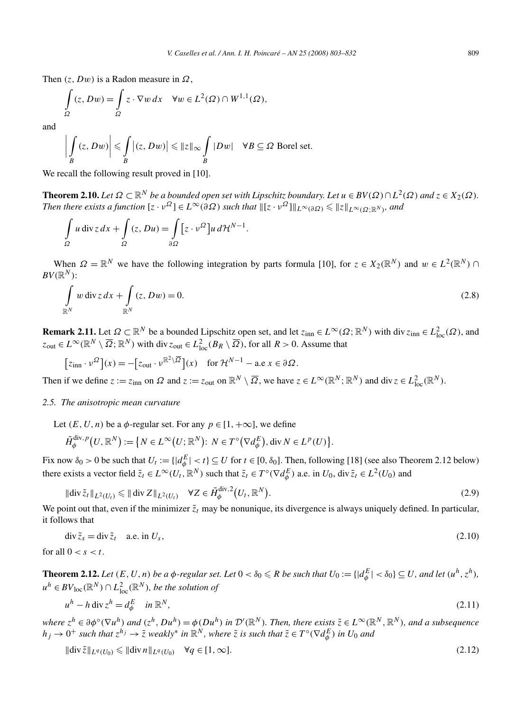Then *(z,Dw)* is a Radon measure in *Ω*,

$$
\int_{\Omega} (z, Dw) = \int_{\Omega} z \cdot \nabla w \, dx \quad \forall w \in L^{2}(\Omega) \cap W^{1,1}(\Omega),
$$

and

$$
\left|\int\limits_B (z, Dw)\right| \leqslant \int\limits_B |(z, Dw)| \leqslant \|z\|_{\infty} \int\limits_B |Dw| \quad \forall B \subseteq \Omega \text{ Borel set.}
$$

We recall the following result proved in [10].

**Theorem 2.10.** *Let*  $\Omega \subset \mathbb{R}^N$  *be a bounded open set with Lipschitz boundary. Let*  $u \in BV(\Omega) \cap L^2(\Omega)$  *and*  $z \in X_2(\Omega)$ *. Then there exists a function*  $[z \cdot v^{\Omega}] \in L^{\infty}(\partial \Omega)$  such that  $\Vert [z \cdot v^{\Omega}] \Vert_{L^{\infty}(\partial \Omega)} \leqslant \Vert z \Vert_{L^{\infty}(\Omega; \mathbb{R}^{N})}$ *, and* 

$$
\int_{\Omega} u \operatorname{div} z \, dx + \int_{\Omega} (z, Du) = \int_{\partial \Omega} \left[ z \cdot v^{\Omega} \right] u \, d\mathcal{H}^{N-1}.
$$

When  $\Omega = \mathbb{R}^N$  we have the following integration by parts formula [10], for  $z \in X_2(\mathbb{R}^N)$  and  $w \in L^2(\mathbb{R}^N) \cap$  $BV(\mathbb{R}^N)$ :

$$
\int_{\mathbb{R}^N} w \operatorname{div} z \, dx + \int_{\mathbb{R}^N} (z, Dw) = 0. \tag{2.8}
$$

**Remark 2.11.** Let  $\Omega \subset \mathbb{R}^N$  be a bounded Lipschitz open set, and let  $z_{\text{inn}} \in L^{\infty}(\Omega; \mathbb{R}^N)$  with div  $z_{\text{inn}} \in L^2_{\text{loc}}(\Omega)$ , and  $z_{\text{out}} \in L^{\infty}(\mathbb{R}^N \setminus \overline{\Omega}; \mathbb{R}^N)$  with div  $z_{\text{out}} \in L^2_{\text{loc}}(B_R \setminus \overline{\Omega})$ , for all  $R > 0$ . Assume that

$$
[z_{\text{inn}} \cdot \nu^{\Omega}](x) = -[z_{\text{out}} \cdot \nu^{\mathbb{R}^2 \setminus \overline{\Omega}}](x) \quad \text{for } \mathcal{H}^{N-1} - \text{a.e } x \in \partial \Omega.
$$

Then if we define  $z := z_{\text{inn}}$  on  $\Omega$  and  $z := z_{\text{out}}$  on  $\mathbb{R}^N \setminus \overline{\Omega}$ , we have  $z \in L^{\infty}(\mathbb{R}^N; \mathbb{R}^N)$  and div  $z \in L^2_{\text{loc}}(\mathbb{R}^N)$ .

## *2.5. The anisotropic mean curvature*

Let  $(E, U, n)$  be a  $\phi$ -regular set. For any  $p \in [1, +\infty]$ , we define

$$
\tilde{H}_{\phi}^{\mathrm{div},p}(U,\mathbb{R}^N):=\big\{N\in L^{\infty}\big(U;\mathbb{R}^N\big)\colon\,N\in T^{\circ}\big(\nabla d_{\phi}^E\big),\,\mathrm{div}\,N\in L^p(U)\big\}.
$$

Fix now  $\delta_0 > 0$  be such that  $U_t := \{ |d_{\phi}^E| < t \} \subseteq U$  for  $t \in [0, \delta_0]$ . Then, following [18] (see also Theorem 2.12 below) there exists a vector field  $\tilde{z}_t \in L^{\infty}(U_t, \mathbb{R}^N)$  such that  $\tilde{z}_t \in T^{\circ}(\nabla d_{\phi}^E)$  a.e. in  $U_0$ , div  $\tilde{z}_t \in L^2(U_0)$  and

$$
\|\operatorname{div}\tilde{z}_t\|_{L^2(U_t)} \le \|\operatorname{div} Z\|_{L^2(U_t)} \quad \forall Z \in \tilde{H}_{\phi}^{\operatorname{div},2}(U_t, \mathbb{R}^N). \tag{2.9}
$$

We point out that, even if the minimizer  $\tilde{z}_t$  may be nonunique, its divergence is always uniquely defined. In particular, it follows that

$$
\operatorname{div} \tilde{z}_s = \operatorname{div} \tilde{z}_t \quad \text{a.e. in } U_s,\tag{2.10}
$$

for all  $0 < s < t$ .

**Theorem 2.12.** Let  $(E, U, n)$  be a  $\phi$ -regular set. Let  $0 < \delta_0 \leq R$  be such that  $U_0 := \{ |d^E_{\phi}| < \delta_0 \} \subseteq U$ , and let  $(u^h, z^h)$ ,  $u^h$  ∈ *BV*<sub>loc</sub>( $\mathbb{R}^N$ ) ∩  $L^2_{\text{loc}}(\mathbb{R}^N)$ , *be the solution of* 

$$
u^h - h \operatorname{div} z^h = d_\phi^E \quad \text{in } \mathbb{R}^N, \tag{2.11}
$$

where  $z^h \in \partial \phi^\circ(\nabla u^h)$  and  $(z^h, Du^h) = \phi(Du^h)$  in  $\mathcal{D}'(\mathbb{R}^N)$ . Then, there exists  $\tilde{z} \in L^\infty(\mathbb{R}^N, \mathbb{R}^N)$ , and a subsequence  $h_j\to 0^+$  such that  $z^{h_j}\to \tilde z$  weakly $^*$  in  $\mathbb R^N$ , where  $\tilde z$  is such that  $\tilde z\in T^\circ(\nabla d_\phi^E)$  in  $U_0$  and

$$
\|\text{div}\,\tilde{z}\|_{L^q(U_0)} \le \|\text{div}\,n\|_{L^q(U_0)} \quad \forall q \in [1,\infty].\tag{2.12}
$$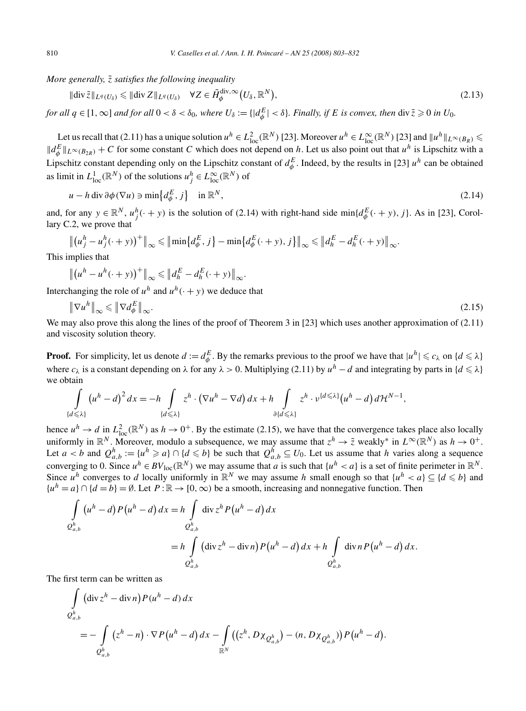*More generally, z*˜ *satisfies the following inequality*

$$
\|\text{div}\,\tilde{z}\|_{L^q(U_\delta)} \le \|\text{div}\,Z\|_{L^q(U_\delta)} \quad \forall Z \in \tilde{H}_{\phi}^{\text{div},\infty}\big(U_\delta,\mathbb{R}^N\big),\tag{2.13}
$$

for all  $q \in [1,\infty]$  and for all  $0 < \delta < \delta_0$ , where  $U_\delta := \{ |d^E_\phi| < \delta \}$ . Finally, if E is convex, then  $\text{div}\,\tilde{z} \geqslant 0$  in  $U_0$ .

Let us recall that (2.11) has a unique solution  $u^h \in L^2_{loc}(\mathbb{R}^N)$  [23]. Moreover  $u^h \in L^\infty_{loc}(\mathbb{R}^N)$  [23] and  $||u^h||_{L^\infty(B_R)} \le$  $\|d_{\phi}^{E}\|_{L^{\infty}(B_{2R})}$  + *C* for some constant *C* which does not depend on *h*. Let us also point out that *u*<sup>h</sup> is Lipschitz with a Lipschitz constant depending only on the Lipschitz constant of  $d_{\phi}^E$ . Indeed, by the results in [23]  $u^h$  can be obtained as limit in  $L^1_{loc}(\mathbb{R}^N)$  of the solutions  $u_j^h \in L^\infty_{loc}(\mathbb{R}^N)$  of

$$
u - h \operatorname{div} \partial \phi(\nabla u) \ni \min \{ d^E_{\phi}, j \} \quad \text{in } \mathbb{R}^N, \tag{2.14}
$$

and, for any  $y \in \mathbb{R}^N$ ,  $u_j^h(\cdot + y)$  is the solution of (2.14) with right-hand side min $\{d^E_\phi(\cdot + y), j\}$ . As in [23], Corollary C.2, we prove that

$$
\left\| (u_j^h - u_j^h(\cdot + y))^+ \right\|_{\infty} \le \left\| \min \{ d_{\phi}^E, j \} - \min \{ d_{\phi}^E(\cdot + y), j \} \right\|_{\infty} \le \left\| d_h^E - d_h^E(\cdot + y) \right\|_{\infty}.
$$

This implies that

$$
\left\| \left( u^h - u^h(\cdot + y) \right)^+ \right\|_{\infty} \leqslant \left\| d_h^E - d_h^E(\cdot + y) \right\|_{\infty}.
$$

Interchanging the role of  $u^h$  and  $u^h(\cdot + y)$  we deduce that

$$
\|\nabla u^h\|_{\infty} \le \|\nabla d_{\phi}^E\|_{\infty}.\tag{2.15}
$$

We may also prove this along the lines of the proof of Theorem 3 in [23] which uses another approximation of  $(2.11)$ and viscosity solution theory.

**Proof.** For simplicity, let us denote  $d := d_{\phi}^E$ . By the remarks previous to the proof we have that  $|u^h| \leq c_\lambda$  on  $\{d \leq \lambda\}$ where  $c_\lambda$  is a constant depending on  $\lambda$  for any  $\lambda > 0$ . Multiplying (2.11) by  $u^h - d$  and integrating by parts in  $\{d \leq \lambda\}$ we obtain

$$
\int_{\{d\leq \lambda\}} \left(u^h - d\right)^2 dx = -h \int_{\{d\leq \lambda\}} z^h \cdot \left(\nabla u^h - \nabla d\right) dx + h \int_{\partial \{d\leq \lambda\}} z^h \cdot \nu^{\{d\leq \lambda\}} \left(u^h - d\right) d\mathcal{H}^{N-1},
$$

hence  $u^h \to d$  in  $L^2_{loc}(\mathbb{R}^N)$  as  $h \to 0^+$ . By the estimate (2.15), we have that the convergence takes place also locally uniformly in  $\mathbb{R}^N$ . Moreover, modulo a subsequence, we may assume that  $z^h \to \tilde{z}$  weakly\* in  $L^\infty(\mathbb{R}^N)$  as  $h \to 0^+$ . Let  $a < b$  and  $Q_{a,b}^h := \{u^h \geq a\} \cap \{d \leq b\}$  be such that  $Q_{a,b}^h \subseteq U_0$ . Let us assume that *h* varies along a sequence converging to 0. Since  $u^h \in BV_{loc}(\mathbb{R}^N)$  we may assume that *a* is such that  $\{u^h < a\}$  is a set of finite perimeter in  $\mathbb{R}^N$ . Since  $u^h$  converges to *d* locally uniformly in  $\mathbb{R}^N$  we may assume *h* small enough so that  $\{u^h < a\} \subseteq \{d \leq b\}$  and  ${u<sup>h</sup> = a} \cap {d = b} = \emptyset$ . Let  $P : \mathbb{R} \to [0, \infty)$  be a smooth, increasing and nonnegative function. Then

$$
\int_{Q_{a,b}^h} (u^h - d) P(u^h - d) dx = h \int_{Q_{a,b}^h} \operatorname{div} z^h P(u^h - d) dx
$$
  
= 
$$
h \int_{Q_{a,b}^h} (\operatorname{div} z^h - \operatorname{div} n) P(u^h - d) dx + h \int_{Q_{a,b}^h} \operatorname{div} n P(u^h - d) dx.
$$

The first term can be written as

$$
\int\limits_{Q_{a,b}^h} (\operatorname{div} z^h - \operatorname{div} n) P(u^h - d) dx
$$
\n
$$
= - \int\limits_{Q_{a,b}^h} (z^h - n) \cdot \nabla P(u^h - d) dx - \int\limits_{\mathbb{R}^N} ((z^h, D \chi_{Q_{a,b}^h}) - (n, D \chi_{Q_{a,b}^h})) P(u^h - d).
$$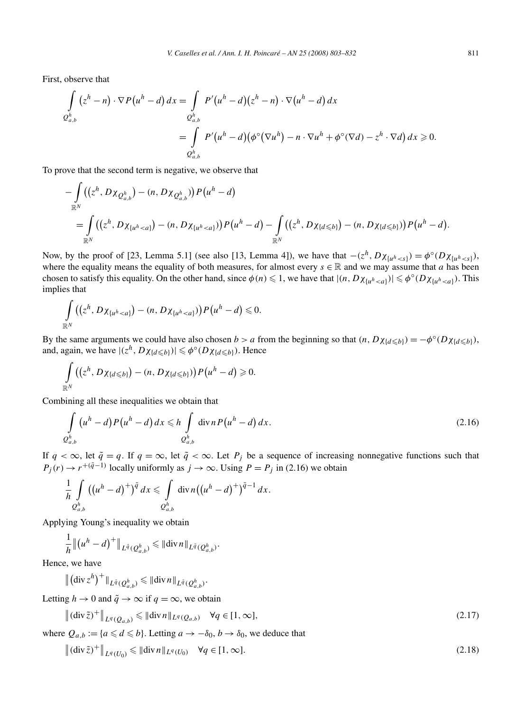First, observe that

$$
\int_{Q_{a,b}^h} (z^h - n) \cdot \nabla P(u^h - d) dx = \int_{Q_{a,b}^h} P'(u^h - d) (z^h - n) \cdot \nabla (u^h - d) dx
$$

$$
= \int_{Q_{a,b}^h} P'(u^h - d) (\phi^\circ (\nabla u^h) - n \cdot \nabla u^h + \phi^\circ (\nabla d) - z^h \cdot \nabla d) dx \ge 0.
$$

To prove that the second term is negative, we observe that

$$
-\int_{\mathbb{R}^N} ((z^h, D\chi_{Q_{a,b}^h}) - (n, D\chi_{Q_{a,b}^h})) P(u^h - d)
$$
  
= 
$$
\int_{\mathbb{R}^N} ((z^h, D\chi_{\{u^h < a\}}) - (n, D\chi_{\{u^h < a\}})) P(u^h - d) - \int_{\mathbb{R}^N} ((z^h, D\chi_{\{d \leq b\}}) - (n, D\chi_{\{d \leq b\}})) P(u^h - d).
$$

Now, by the proof of [23, Lemma 5.1] (see also [13, Lemma 4]), we have that  $-(z^h, D\chi_{\{u^h < s\}}) = \phi^\circ(D\chi_{\{u^h < s\}})$ , where the equality means the equality of both measures, for almost every  $s \in \mathbb{R}$  and we may assume that *a* has been chosen to satisfy this equality. On the other hand, since  $\phi(n) \leq 1$ , we have that  $|(n, D \chi_{\{u^h < a\}})| \leq \phi^{\circ}(D \chi_{\{u^h < a\}})$ . This implies that

$$
\int\limits_{\mathbb{R}^N}\bigl((z^h,D\chi_{\{u^h
$$

By the same arguments we could have also chosen *b* > *a* from the beginning so that  $(n, D\chi_{\{d \leq b\}}) = -\phi^{\circ}(D\chi_{\{d \leq b\}})$ , and, again, we have  $|(z^h, D\chi_{\{d \leq b\}})| \leq \phi^{\circ}(D\chi_{\{d \leq b\}})$ . Hence

$$
\int_{\mathbb{R}^N} \left( \left( z^h, D\chi_{\{d\leq b\}} \right) - (n, D\chi_{\{d\leq b\}}) \right) P\left( u^h - d \right) \geq 0.
$$

Combining all these inequalities we obtain that

$$
\int\limits_{Q_{a,b}^h} \left(u^h - d\right) P\left(u^h - d\right) dx \le h \int\limits_{Q_{a,b}^h} \operatorname{div} n P\left(u^h - d\right) dx. \tag{2.16}
$$

If  $q < \infty$ , let  $\tilde{q} = q$ . If  $q = \infty$ , let  $\tilde{q} < \infty$ . Let  $P_j$  be a sequence of increasing nonnegative functions such that  $P_j(r) \to r^{+(\tilde{q}-1)}$  locally uniformly as  $j \to \infty$ . Using  $P = P_j$  in (2.16) we obtain

$$
\frac{1}{h}\int\limits_{Q_{a,b}^h} \left((u^h-d)^+\right)^{\tilde{q}} dx \leq \int\limits_{Q_{a,b}^h} \operatorname{div} n \left((u^h-d)^+\right)^{\tilde{q}-1} dx.
$$

Applying Young's inequality we obtain

$$
\frac{1}{h} \|(u^h - d)^+\|_{L^{\bar{q}}(Q_{a,b}^h)} \leq \|\text{div}\, n\|_{L^{\bar{q}}(Q_{a,b}^h)}.
$$

Hence, we have

$$
\left\| \left(\operatorname{div} z^h\right)^+\right\|_{L^{\tilde{q}}(Q_{a,b}^h)} \leq \left\| \operatorname{div} n\right\|_{L^{\tilde{q}}(Q_{a,b}^h)}.
$$

Letting  $h \to 0$  and  $\tilde{q} \to \infty$  if  $q = \infty$ , we obtain

$$
\left\|(\operatorname{div}\tilde{z})^+\right\|_{L^q(Q_{a,b})} \leq \left\|\operatorname{div} n\right\|_{L^q(Q_{a,b})} \quad \forall q \in [1,\infty],\tag{2.17}
$$

where  $Q_{a,b} := \{a \leq d \leq b\}$ . Letting  $a \to -\delta_0$ ,  $b \to \delta_0$ , we deduce that

$$
\left\|(\operatorname{div}\tilde{z})^+\right\|_{L^q(U_0)} \leq \|\operatorname{div} n\|_{L^q(U_0)} \quad \forall q \in [1,\infty].\tag{2.18}
$$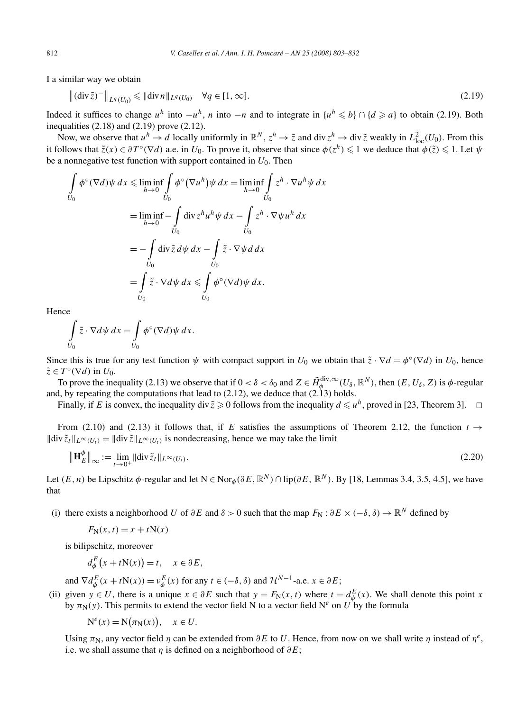I a similar way we obtain

$$
\| (\text{div } \tilde{z})^{-} \|_{L^{q}(U_0)} \le \| \text{div } n \|_{L^{q}(U_0)} \quad \forall q \in [1, \infty].
$$
\n(2.19)

Indeed it suffices to change  $u^h$  into  $-u^h$ , *n* into  $-n$  and to integrate in  $\{u^h \leq b\} \cap \{d \geq a\}$  to obtain (2.19). Both inequalities  $(2.18)$  and  $(2.19)$  prove  $(2.12)$ .

Now, we observe that  $u^h \to d$  locally uniformly in  $\mathbb{R}^N$ ,  $z^h \to \tilde{z}$  and div  $z^h \to \text{div}\,\tilde{z}$  weakly in  $L^2_{\text{loc}}(U_0)$ . From this it follows that  $\tilde{z}(x) \in \partial T^{\circ}(\nabla d)$  a.e. in  $U_0$ . To prove it, observe that since  $\phi(z^h) \leq 1$  we deduce that  $\phi(\tilde{z}) \leq 1$ . Let  $\psi$ be a nonnegative test function with support contained in *U*0. Then

$$
\int_{U_0} \phi^\circ (\nabla d) \psi \, dx \le \liminf_{h \to 0} \int_{U_0} \phi^\circ (\nabla u^h) \psi \, dx = \liminf_{h \to 0} \int_{U_0} z^h \cdot \nabla u^h \psi \, dx
$$
\n
$$
= \liminf_{h \to 0} \int_{U_0} \text{div} \, z^h u^h \psi \, dx - \int_{U_0} z^h \cdot \nabla \psi u^h \, dx
$$
\n
$$
= - \int_{U_0} \text{div} \, \tilde{z} \, d\psi \, dx - \int_{U_0} \tilde{z} \cdot \nabla \psi \, d \, dx
$$
\n
$$
= \int_{U_0} \tilde{z} \cdot \nabla d\psi \, dx \le \int_{U_0} \phi^\circ (\nabla d) \psi \, dx.
$$

Hence

$$
\int\limits_{U_0} \tilde{z} \cdot \nabla d\psi \, dx = \int\limits_{U_0} \phi^\circ(\nabla d) \psi \, dx.
$$

Since this is true for any test function  $\psi$  with compact support in *U*<sub>0</sub> we obtain that  $\tilde{z} \cdot \nabla d = \phi^{\circ}(\nabla d)$  in *U*<sub>0</sub>, hence  $\tilde{z} \in T^{\circ}(\nabla d)$  in  $U_0$ .

To prove the inequality (2.13) we observe that if  $0 < \delta < \delta_0$  and  $Z \in \tilde{H}_{\phi}^{\text{div},\infty}(U_{\delta},\mathbb{R}^N)$ , then  $(E,U_{\delta},Z)$  is  $\phi$ -regular and, by repeating the computations that lead to  $(2.12)$ , we deduce that  $(2.13)$  holds.

Finally, if *E* is convex, the inequality div  $\tilde{z} \ge 0$  follows from the inequality  $d \le u^h$ , proved in [23, Theorem 3].  $\Box$ 

From (2.10) and (2.13) it follows that, if *E* satisfies the assumptions of Theorem 2.12, the function  $t \rightarrow$  $\|\text{div}\,\tilde{z}_t\|_{L^\infty(U_t)} = \|\text{div}\,\tilde{z}\|_{L^\infty(U_t)}$  is nondecreasing, hence we may take the limit

$$
\|\mathbf{H}_{E}^{\phi}\|_{\infty} := \lim_{t \to 0^{+}} \|\text{div}\,\tilde{z}_{t}\|_{L^{\infty}(U_{t})}.
$$
\n(2.20)

Let  $(E, n)$  be Lipschitz  $\phi$ -regular and let  $N \in \text{Nor}_{\phi}(\partial E, \mathbb{R}^N) \cap \text{lip}(\partial E, \mathbb{R}^N)$ . By [18, Lemmas 3.4, 3.5, 4.5], we have that

(i) there exists a neighborhood *U* of  $\partial E$  and  $\delta > 0$  such that the map  $F_N$ :  $\partial E \times (-\delta, \delta) \rightarrow \mathbb{R}^N$  defined by

$$
F_{N}(x, t) = x + tN(x)
$$

is bilipschitz, moreover

$$
d_{\phi}^{E}(x+tN(x)) = t, \quad x \in \partial E,
$$

and  $\nabla d^E_{\phi}(x + tN(x)) = v^E_{\phi}(x)$  for any  $t \in (-\delta, \delta)$  and  $\mathcal{H}^{N-1}$ -a.e.  $x \in \partial E$ ;

(ii) given  $y \in U$ , there is a unique  $x \in \partial E$  such that  $y = F_N(x, t)$  where  $t = d_{\phi}^E(x)$ . We shall denote this point *x* by  $\pi_N(y)$ . This permits to extend the vector field N to a vector field N<sup>e</sup> on U<sup>t</sup> by the formula

 $N^e(x) = N(\pi_N(x)), \quad x \in U.$ 

Using  $\pi_N$ , any vector field  $\eta$  can be extended from  $\partial E$  to *U*. Hence, from now on we shall write  $\eta$  instead of  $\eta^e$ , i.e. we shall assume that *η* is defined on a neighborhood of *∂E*;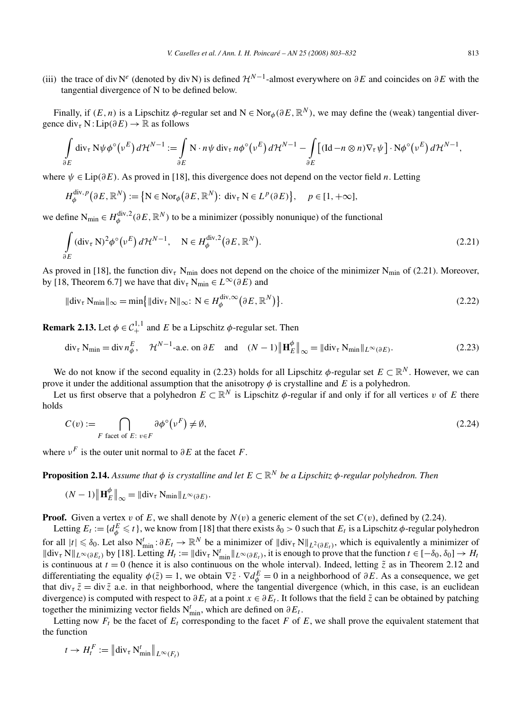(iii) the trace of div N<sup>e</sup> (denoted by div N) is defined  $\mathcal{H}^{N-1}$ -almost everywhere on  $\partial E$  and coincides on  $\partial E$  with the tangential divergence of N to be defined below.

Finally, if  $(E, n)$  is a Lipschitz  $\phi$ -regular set and  $N \in \text{Nor}_{\phi}(\partial E, \mathbb{R}^N)$ , we may define the (weak) tangential divergence  $div_\tau N$ : Lip $(\partial E) \to \mathbb{R}$  as follows

$$
\int_{\partial E} \operatorname{div}_{\tau} N\psi \phi^{\circ}(\nu^{E}) d\mathcal{H}^{N-1} := \int_{\partial E} N \cdot n\psi \operatorname{div}_{\tau} n\phi^{\circ}(\nu^{E}) d\mathcal{H}^{N-1} - \int_{\partial E} \left[ (\operatorname{Id} - n\otimes n) \nabla_{\tau} \psi \right] \cdot N\phi^{\circ}(\nu^{E}) d\mathcal{H}^{N-1},
$$

where *ψ* ∈ Lip*(∂E)*. As proved in [18], this divergence does not depend on the vector field *n*. Letting

$$
H_{\phi}^{\text{div},p}(\partial E,\mathbb{R}^N):=\left\{\mathbf{N}\in\text{Nor}_{\phi}(\partial E,\mathbb{R}^N)\colon\text{div}_{\tau}\,\mathbf{N}\in L^p(\partial E)\right\},\quad p\in[1,+\infty],
$$

we define  $N_{\text{min}} \in H_{\phi}^{\text{div},2}(\partial E, \mathbb{R}^N)$  to be a minimizer (possibly nonunique) of the functional

$$
\int_{\partial E} (\operatorname{div}_{\tau} N)^2 \phi^{\circ} (\nu^E) d\mathcal{H}^{N-1}, \quad N \in H_{\phi}^{\operatorname{div},2} (\partial E, \mathbb{R}^N).
$$
\n(2.21)

As proved in [18], the function div<sub>*τ*</sub> N<sub>min</sub> does not depend on the choice of the minimizer N<sub>min</sub> of (2.21). Moreover, by [18, Theorem 6.7] we have that  $\text{div}_{\tau} N_{\text{min}} \in L^{\infty}(\partial E)$  and

$$
\|\text{div}_{\tau} \, \mathcal{N}_{\text{min}}\|_{\infty} = \min \{ \|\text{div}_{\tau} \, \mathcal{N}\|_{\infty} : \, \mathcal{N} \in H_{\phi}^{\text{div},\infty} \big(\partial E, \mathbb{R}^{N}\big) \}.
$$
\n(2.22)

**Remark 2.13.** Let  $\phi \in C^{1,1}_+$  and *E* be a Lipschitz  $\phi$ -regular set. Then

$$
\operatorname{div}_{\tau} \mathcal{N}_{\min} = \operatorname{div} n_{\phi}^{E}, \quad \mathcal{H}^{N-1}\text{-a.e. on } \partial E \quad \text{and} \quad (N-1) \left\| \mathbf{H}_{E}^{\phi} \right\|_{\infty} = \left\| \operatorname{div}_{\tau} \mathcal{N}_{\min} \right\|_{L^{\infty}(\partial E)}.
$$
 (2.23)

We do not know if the second equality in (2.23) holds for all Lipschitz  $\phi$ -regular set  $E \subset \mathbb{R}^N$ . However, we can prove it under the additional assumption that the anisotropy  $\phi$  is crystalline and *E* is a polyhedron.

Let us first observe that a polyhedron  $E \subset \mathbb{R}^N$  is Lipschitz  $\phi$ -regular if and only if for all vertices *v* of *E* there holds

$$
C(v) := \bigcap_{F \text{ facet of } E: \ v \in F} \partial \phi^{\circ}(\nu^F) \neq \emptyset,
$$
\n(2.24)

where  $v^F$  is the outer unit normal to  $\partial E$  at the facet *F*.

**Proposition 2.14.** *Assume that*  $\phi$  *is crystalline and let*  $E \subset \mathbb{R}^N$  *be a Lipschitz*  $\phi$ *-regular polyhedron. Then* 

$$
(N-1)\left\|\mathbf{H}_{E}^{\phi}\right\|_{\infty}=\|\mathrm{div}_{\tau}\,\mathrm{N}_{\min}\|_{L^{\infty}(\partial E)}.
$$

**Proof.** Given a vertex *v* of *E*, we shall denote by  $N(v)$  a generic element of the set  $C(v)$ , defined by (2.24).

Letting  $E_t := \{d^E_\phi \leq t\}$ , we know from [18] that there exists  $\delta_0 > 0$  such that  $E_t$  is a Lipschitz  $\phi$ -regular polyhedron for all  $|t| \leq \delta_0$ . Let also  $N_{\min}^t : \partial E_t \to \mathbb{R}^N$  be a minimizer of  $\|\text{div}_{\tau} N\|_{L^2(\partial E_t)}$ , which is equivalently a minimizer of  $\|\text{div}_{\tau} N\|_{L^{\infty}(\partial E_t)}$  by [18]. Letting  $H_t := \|\text{div}_{\tau} N^t_{\min}\|_{L^{\infty}(\partial E_t)}$ , it is enough to prove that the function  $t \in [-\delta_0, \delta_0] \to H_t$ is continuous at  $t = 0$  (hence it is also continuous on the whole interval). Indeed, letting  $\tilde{z}$  as in Theorem 2.12 and differentiating the equality  $\phi(\tilde{z}) = 1$ , we obtain  $\nabla \tilde{z} \cdot \nabla d^E_{\phi} = 0$  in a neighborhood of  $\partial E$ . As a consequence, we get that div<sub>*τ*</sub>  $\tilde{z}$  = div  $\tilde{z}$  a.e. in that neighborhood, where the tangential divergence (which, in this case, is an euclidean divergence) is computed with respect to  $\partial E_t$  at a point  $x \in \partial E_t$ . It follows that the field  $\tilde{z}$  can be obtained by patching together the minimizing vector fields  $N_{\min}^t$ , which are defined on  $\partial E_t$ .

Letting now  $F_t$  be the facet of  $E_t$  corresponding to the facet  $F$  of  $E$ , we shall prove the equivalent statement that the function

$$
t \to H_t^F := \left\| \operatorname{div}_{\tau} \mathrm{N}^t_{\min} \right\|_{L^{\infty}(F_t)}
$$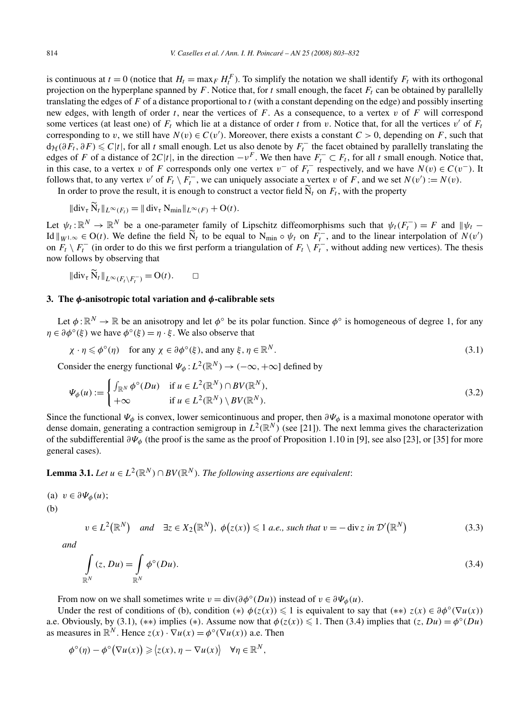is continuous at  $t = 0$  (notice that  $H_t = \max_F H_t^F$ ). To simplify the notation we shall identify  $F_t$  with its orthogonal projection on the hyperplane spanned by  $F$ . Notice that, for  $t$  small enough, the facet  $F_t$  can be obtained by parallelly translating the edges of *F* of a distance proportional to *t* (with a constant depending on the edge) and possibly inserting new edges, with length of order *t*, near the vertices of *F*. As a consequence, to a vertex *v* of *F* will correspond some vertices (at least one) of  $F_t$  which lie at a distance of order *t* from *v*. Notice that, for all the vertices *v'* of  $F_t$ corresponding to *v*, we still have  $N(v) \in C(v')$ . Moreover, there exists a constant  $C > 0$ , depending on *F*, such that  $d_{\mathcal{H}}(\partial F_t, \partial F) \leq C|t|$ , for all *t* small enough. Let us also denote by  $F_t^-$  the facet obtained by parallelly translating the edges of *F* of a distance of  $2C|t|$ , in the direction  $-v^F$ . We then have  $F_t^- \subset F_t$ , for all *t* small enough. Notice that, in this case, to a vertex *v* of *F* corresponds only one vertex  $v^-$  of  $F_t^-$  respectively, and we have  $N(v) \in C(v^-)$ . It follows that, to any vertex *v'* of  $F_t \setminus F_t^-$ , we can uniquely associate a vertex *v* of *F*, and we set  $N(v') := N(v)$ .

In order to prove the result, it is enough to construct a vector field  $\tilde{N}_t$  on  $F_t$ , with the property

$$
\|\operatorname{div}_{\tau}\tilde{N}_t\|_{L^{\infty}(F_t)}=\|\operatorname{div}_{\tau}N_{\min}\|_{L^{\infty}(F)}+O(t).
$$

Let  $\psi_t : \mathbb{R}^N \to \mathbb{R}^N$  be a one-parameter family of Lipschitz diffeomorphisms such that  $\psi_t(F_t^-) = F$  and  $\psi_t$  – Id  $||_{W^{1,\infty}} \in O(t)$ . We define the field  $\widetilde{N}_t$  to be equal to  $N_{\min} \circ \psi_t$  on  $F_t^-$ , and to the linear interpolation of  $N(v')$ on  $F_t \setminus F_t^-$  (in order to do this we first perform a triangulation of  $F_t \setminus F_t^-$ , without adding new vertices). The thesis now follows by observing that

$$
\|\text{div}_{\tau}\,\widetilde{\mathbf{N}}_t\|_{L^{\infty}(F_t\setminus F_t^-)}=\mathbf{O}(t). \qquad \Box
$$

# **3. The** *φ***-anisotropic total variation and** *φ***-calibrable sets**

Let  $\phi: \mathbb{R}^N \to \mathbb{R}$  be an anisotropy and let  $\phi^\circ$  be its polar function. Since  $\phi^\circ$  is homogeneous of degree 1, for any  $\eta \in \partial \phi^{\circ}(\xi)$  we have  $\phi^{\circ}(\xi) = \eta \cdot \xi$ . We also observe that

$$
\chi \cdot \eta \leq \phi^{\circ}(\eta) \quad \text{for any } \chi \in \partial \phi^{\circ}(\xi), \text{ and any } \xi, \eta \in \mathbb{R}^{N}.
$$
 (3.1)

Consider the energy functional  $\Psi_{\phi}: L^2(\mathbb{R}^N) \to (-\infty, +\infty]$  defined by

$$
\Psi_{\phi}(u) := \begin{cases} \int_{\mathbb{R}^N} \phi^{\circ}(Du) & \text{if } u \in L^2(\mathbb{R}^N) \cap BV(\mathbb{R}^N), \\ +\infty & \text{if } u \in L^2(\mathbb{R}^N) \setminus BV(\mathbb{R}^N). \end{cases}
$$
\n(3.2)

Since the functional  $\Psi_{\phi}$  is convex, lower semicontinuous and proper, then  $\partial\Psi_{\phi}$  is a maximal monotone operator with dense domain, generating a contraction semigroup in  $L^2(\mathbb{R}^N)$  (see [21]). The next lemma gives the characterization of the subdifferential *∂Ψφ* (the proof is the same as the proof of Proposition 1.10 in [9], see also [23], or [35] for more general cases).

**Lemma 3.1.** *Let*  $u \in L^2(\mathbb{R}^N) \cap BV(\mathbb{R}^N)$ . The following assertions are equivalent:

(a)  $v \in \partial \Psi_{\phi}(u)$ ; (b)

$$
v \in L^{2}(\mathbb{R}^{N}) \quad and \quad \exists z \in X_{2}(\mathbb{R}^{N}), \ \phi(z(x)) \leq 1 \ a.e., \ such \ that \ v = -\operatorname{div} z \ in \ \mathcal{D}'(\mathbb{R}^{N}) \tag{3.3}
$$

*and*

$$
\int_{\mathbb{R}^N} (z, Du) = \int_{\mathbb{R}^N} \phi^{\circ}(Du). \tag{3.4}
$$

From now on we shall sometimes write  $v = \text{div}(\partial \phi^{\circ}(Du))$  instead of  $v \in \partial \Psi_{\phi}(u)$ .

Under the rest of conditions of (b), condition (\*)  $\phi(z(x)) \leq 1$  is equivalent to say that (\*\*)  $z(x) \in \partial \phi^{\circ}(\nabla u(x))$ a.e. Obviously, by (3.1), (\*\*) implies (\*). Assume now that  $\phi(z(x)) \leq 1$ . Then (3.4) implies that  $(z, Du) = \phi^{\circ}(Du)$ as measures in  $\mathbb{R}^N$ . Hence  $z(x) \cdot \nabla u(x) = \phi^\circ(\nabla u(x))$  a.e. Then

$$
\phi^{\circ}(\eta) - \phi^{\circ}(\nabla u(x)) \geq \langle z(x), \eta - \nabla u(x) \rangle \quad \forall \eta \in \mathbb{R}^{N},
$$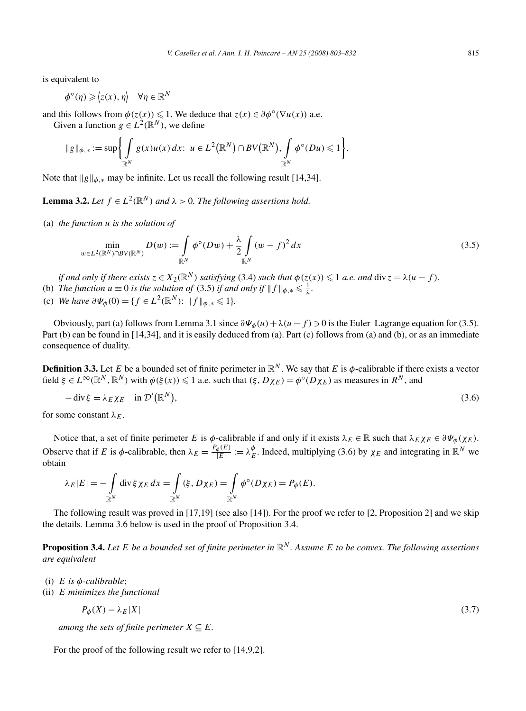is equivalent to

$$
\phi^{\circ}(\eta) \geq \langle z(x), \eta \rangle \quad \forall \eta \in \mathbb{R}^{N}
$$

and this follows from  $\phi(z(x)) \leq 1$ . We deduce that  $z(x) \in \partial \phi^{\circ}(\nabla u(x))$  a.e. Given a function  $g \in L^2(\mathbb{R}^N)$ , we define

$$
\|g\|_{\phi,*} := \sup \biggl\{ \int_{\mathbb{R}^N} g(x)u(x) dx : u \in L^2(\mathbb{R}^N) \cap BV(\mathbb{R}^N), \int_{\mathbb{R}^N} \phi^{\circ}(Du) \leq 1 \biggr\}.
$$

Note that  $\|g\|_{\phi,*}$  may be infinite. Let us recall the following result [14,34].

**Lemma 3.2.** *Let*  $f \in L^2(\mathbb{R}^N)$  *and*  $\lambda > 0$ *. The following assertions hold.* 

(a) *the function u is the solution of*

$$
\min_{w \in L^2(\mathbb{R}^N) \cap BV(\mathbb{R}^N)} D(w) := \int_{\mathbb{R}^N} \phi^\circ(Dw) + \frac{\lambda}{2} \int_{\mathbb{R}^N} (w - f)^2 dx \tag{3.5}
$$

*if and only if there exists*  $z \in X_2(\mathbb{R}^N)$  *satisfying* (3.4) *such that*  $\phi(z(x)) \leqslant 1$  *a.e. and*  $\text{div } z = \lambda(u - f)$ *.* 

(b) *The function*  $u \equiv 0$  *is the solution of* (3.5) *if and only if*  $|| f ||_{\phi,*} \leq \frac{1}{\lambda}$ .

(c) *We have*  $\partial \Psi_{\phi}(0) = \{ f \in L^{2}(\mathbb{R}^{N}) : ||f||_{\phi,*} \leq 1 \}.$ 

Obviously, part (a) follows from Lemma 3.1 since  $\partial \Psi_{\phi}(u) + \lambda (u - f) \ni 0$  is the Euler–Lagrange equation for (3.5). Part (b) can be found in [14,34], and it is easily deduced from (a). Part (c) follows from (a) and (b), or as an immediate consequence of duality.

**Definition 3.3.** Let *E* be a bounded set of finite perimeter in  $\mathbb{R}^N$ . We say that *E* is  $\phi$ -calibrable if there exists a vector field  $\xi \in L^{\infty}(\mathbb{R}^N, \mathbb{R}^N)$  with  $\phi(\xi(x)) \leq 1$  a.e. such that  $(\xi, D\chi_E) = \phi^{\circ}(D\chi_E)$  as measures in  $R^N$ , and

$$
-\operatorname{div}\xi = \lambda_E \chi_E \quad \text{in } \mathcal{D}'(\mathbb{R}^N), \tag{3.6}
$$

for some constant  $\lambda_E$ .

Notice that, a set of finite perimeter *E* is  $\phi$ -calibrable if and only if it exists  $\lambda_E \in \mathbb{R}$  such that  $\lambda_E \chi_E \in \partial \Psi_{\phi}(\chi_E)$ . Observe that if *E* is  $\phi$ -calibrable, then  $\lambda_E = \frac{P_\phi(E)}{|E|} := \lambda_E^{\phi}$ . Indeed, multiplying (3.6) by  $\chi_E$  and integrating in  $\mathbb{R}^N$  we obtain

$$
\lambda_E |E| = - \int_{\mathbb{R}^N} \operatorname{div} \xi \chi_E \, dx = \int_{\mathbb{R}^N} (\xi, D\chi_E) = \int_{\mathbb{R}^N} \phi^\circ(D\chi_E) = P_\phi(E).
$$

The following result was proved in [17,19] (see also [14]). For the proof we refer to [2, Proposition 2] and we skip the details. Lemma 3.6 below is used in the proof of Proposition 3.4.

**Proposition 3.4.** Let E be a bounded set of finite perimeter in  $\mathbb{R}^N$ . Assume E to be convex. The following assertions *are equivalent*

- (i) *E is φ-calibrable*;
- (ii) *E minimizes the functional*

$$
P_{\phi}(X) - \lambda_E |X| \tag{3.7}
$$

*among the sets of finite perimeter*  $X \subseteq E$ *.* 

For the proof of the following result we refer to [14,9,2].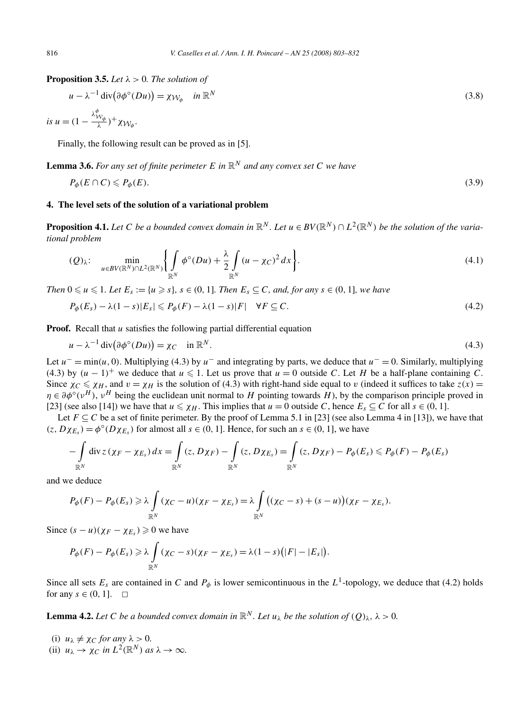**Proposition 3.5.** *Let*  $\lambda > 0$ *. The solution of* 

$$
u - \lambda^{-1} \operatorname{div}(\partial \phi^{\circ}(Du)) = \chi_{\mathcal{W}_{\phi}} \quad \text{in } \mathbb{R}^{N}
$$
\n(3.8)

is 
$$
u = (1 - \frac{\lambda_{\mathcal{W}_{\phi}}^{\phi}}{\lambda})^+ \chi_{\mathcal{W}_{\phi}}.
$$

Finally, the following result can be proved as in [5].

**Lemma 3.6.** *For any set of finite perimeter*  $E$  *in*  $\mathbb{R}^N$  *and any convex set*  $C$  *we have* 

$$
P_{\phi}(E \cap C) \leqslant P_{\phi}(E). \tag{3.9}
$$

# **4. The level sets of the solution of a variational problem**

**Proposition 4.1.** Let C be a bounded convex domain in  $\mathbb{R}^N$ . Let  $u \in BV(\mathbb{R}^N) \cap L^2(\mathbb{R}^N)$  be the solution of the varia*tional problem*

$$
(Q)_{\lambda}:\quad \min_{u\in BV(\mathbb{R}^N)\cap L^2(\mathbb{R}^N)}\left\{\int\limits_{\mathbb{R}^N}\phi^{\circ}(Du)+\frac{\lambda}{2}\int\limits_{\mathbb{R}^N}(u-\chi_C)^2\,dx\right\}.\tag{4.1}
$$

*Then*  $0 \le u \le 1$ *. Let*  $E_s := \{u \ge s\}$ *,*  $s \in (0, 1]$ *. Then*  $E_s \subseteq C$ *, and, for any*  $s \in (0, 1]$ *, we have* 

$$
P_{\phi}(E_s) - \lambda (1 - s)|E_s| \le P_{\phi}(F) - \lambda (1 - s)|F| \quad \forall F \subseteq C.
$$
\n
$$
(4.2)
$$

**Proof.** Recall that *u* satisfies the following partial differential equation

$$
u - \lambda^{-1} \operatorname{div}(\partial \phi^{\circ}(Du)) = \chi_C \quad \text{in } \mathbb{R}^N. \tag{4.3}
$$

Let  $u^-$  = min(u, 0). Multiplying (4.3) by  $u^-$  and integrating by parts, we deduce that  $u^-$  = 0. Similarly, multiplying  $(4.3)$  by  $(u - 1)^+$  we deduce that  $u \le 1$ . Let us prove that  $u = 0$  outside *C*. Let *H* be a half-plane containing *C*. Since  $\chi_C \le \chi_H$ , and  $v = \chi_H$  is the solution of (4.3) with right-hand side equal to *v* (indeed it suffices to take  $z(x)$  $\eta \in \partial \phi^{\circ}(\nu^{H})$ ,  $\nu^{H}$  being the euclidean unit normal to *H* pointing towards *H*), by the comparison principle proved in [23] (see also [14]) we have that  $u \leq \chi_H$ . This implies that  $u = 0$  outside *C*, hence  $E_s \subseteq C$  for all  $s \in (0, 1]$ .

Let  $F \subseteq C$  be a set of finite perimeter. By the proof of Lemma 5.1 in [23] (see also Lemma 4 in [13]), we have that  $(z, D\chi_{E_s}) = \phi^{\circ}(D\chi_{E_s})$  for almost all  $s \in (0, 1]$ . Hence, for such an  $s \in (0, 1]$ , we have

$$
-\int_{\mathbb{R}^N} \operatorname{div} z \left(\chi_F - \chi_{E_s}\right) dx = \int_{\mathbb{R}^N} (z, D\chi_F) - \int_{\mathbb{R}^N} (z, D\chi_{E_s}) = \int_{\mathbb{R}^N} (z, D\chi_F) - P_{\phi}(E_s) \leqslant P_{\phi}(F) - P_{\phi}(E_s)
$$

and we deduce

$$
P_{\phi}(F) - P_{\phi}(E_s) \geq \lambda \int_{\mathbb{R}^N} (\chi_C - u)(\chi_F - \chi_{E_s}) = \lambda \int_{\mathbb{R}^N} ((\chi_C - s) + (s - u))(\chi_F - \chi_{E_s}).
$$

Since  $(s - u)(\chi_F - \chi_{E_s}) \geq 0$  we have

$$
P_{\phi}(F) - P_{\phi}(E_s) \geqslant \lambda \int_{\mathbb{R}^N} (\chi_C - s)(\chi_F - \chi_{E_s}) = \lambda (1 - s) (|F| - |E_s|).
$$

Since all sets  $E_s$  are contained in *C* and  $P_\phi$  is lower semicontinuous in the  $L^1$ -topology, we deduce that (4.2) holds for any  $s \in (0, 1]$ .  $\Box$ 

**Lemma 4.2.** *Let C be a bounded convex domain in*  $\mathbb{R}^N$ *. Let*  $u_\lambda$  *be the solution of*  $(O)_\lambda$ ,  $\lambda > 0$ *.* 

(i)  $u_{\lambda} \neq \chi_C$  *for any*  $\lambda > 0$ . (ii)  $u_{\lambda} \to \gamma_C$  *in*  $L^2(\mathbb{R}^N)$  *as*  $\lambda \to \infty$ *.*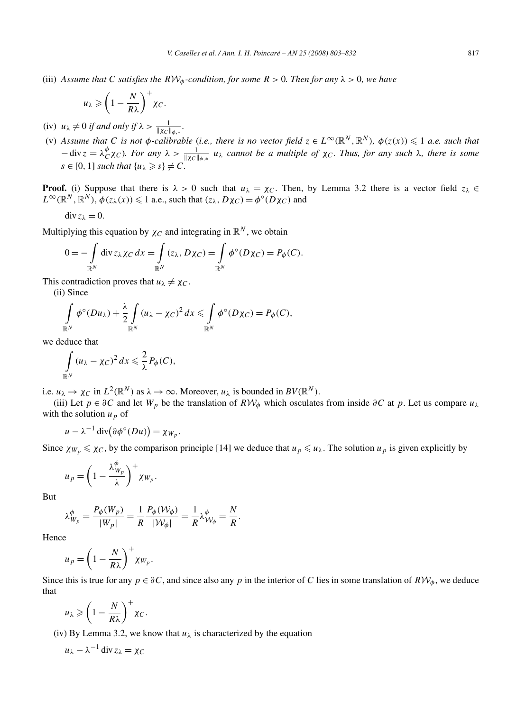(iii) *Assume that C satisfies the*  $RW_\phi$ -condition, for some  $R > 0$ . Then for any  $\lambda > 0$ , we have

$$
u_{\lambda} \geqslant \left(1-\frac{N}{R\lambda}\right)^{+}\chi_{C}.
$$

- $(iv)$   $u_{\lambda} \neq 0$  *if and only if*  $\lambda > \frac{1}{\|\chi_C\|_{\phi,*}}$ .
- (v) Assume that C is not  $\phi$ -calibrable (i.e., there is no vector field  $z \in L^\infty(\mathbb{R}^N, \mathbb{R}^N)$ ,  $\phi(z(x)) \leq 1$  a.e. such that  $-\text{div } z = \lambda_C^{\phi} \chi_C$ *). For any*  $\lambda > \frac{1}{\|\chi_C\|_{\phi,*}} u_{\lambda}$  cannot be a multiple of  $\chi_C$ *. Thus, for any such*  $\lambda$ *, there is some*  $s \in [0, 1]$  *such that*  $\{u_{\lambda} \geqslant s\} \neq C$ *.*

**Proof.** (i) Suppose that there is  $\lambda > 0$  such that  $u_{\lambda} = \chi_C$ . Then, by Lemma 3.2 there is a vector field  $z_{\lambda} \in$  $L^{\infty}(\mathbb{R}^N, \mathbb{R}^N)$ ,  $\phi(z_\lambda(x)) \leq 1$  a.e., such that  $(z_\lambda, D\chi_C) = \phi^{\circ}(D\chi_C)$  and

$$
\operatorname{div} z_{\lambda}=0.
$$

Multiplying this equation by  $\chi_C$  and integrating in  $\mathbb{R}^N$ , we obtain

$$
0 = -\int_{\mathbb{R}^N} \operatorname{div} z_\lambda \chi_C \, dx = \int_{\mathbb{R}^N} (z_\lambda, D\chi_C) = \int_{\mathbb{R}^N} \phi^\circ(D\chi_C) = P_\phi(C).
$$

This contradiction proves that  $u_{\lambda} \neq \chi_C$ .

(ii) Since

$$
\int_{\mathbb{R}^N} \phi^{\circ}(Du_{\lambda}) + \frac{\lambda}{2} \int_{\mathbb{R}^N} (u_{\lambda} - \chi_C)^2 dx \leq \int_{\mathbb{R}^N} \phi^{\circ}(D\chi_C) = P_{\phi}(C),
$$

we deduce that

$$
\int_{\mathbb{R}^N} (u_\lambda - \chi_C)^2 dx \leq \frac{2}{\lambda} P_{\phi}(C),
$$

i.e.  $u_{\lambda} \to \chi_C$  in  $L^2(\mathbb{R}^N)$  as  $\lambda \to \infty$ . Moreover,  $u_{\lambda}$  is bounded in  $BV(\mathbb{R}^N)$ .

(iii) Let  $p \in \partial C$  and let  $W_p$  be the translation of  $R W_\phi$  which osculates from inside  $\partial C$  at p. Let us compare  $u_\lambda$ with the solution  $u_p$  of

$$
u - \lambda^{-1} \operatorname{div}(\partial \phi^{\circ}(Du)) = \chi_{W_p}.
$$

Since  $\chi_{W_p} \le \chi_C$ , by the comparison principle [14] we deduce that  $u_p \le u_\lambda$ . The solution  $u_p$  is given explicitly by

$$
u_p = \left(1 - \frac{\lambda_{W_p}^{\phi}}{\lambda}\right)^+ \chi_{W_p}.
$$

But

$$
\lambda_{W_p}^{\phi} = \frac{P_{\phi}(W_p)}{|W_p|} = \frac{1}{R} \frac{P_{\phi}(W_{\phi})}{|W_{\phi}|} = \frac{1}{R} \lambda_{\mathcal{W}_{\phi}}^{\phi} = \frac{N}{R}.
$$

Hence

$$
u_p = \left(1 - \frac{N}{R\lambda}\right)^+ \chi_{W_p}.
$$

Since this is true for any  $p \in \partial C$ , and since also any p in the interior of C lies in some translation of  $R W_{\phi}$ , we deduce that

$$
u_\lambda \geqslant \left(1-\frac{N}{R\lambda}\right)^+\chi_C.
$$

(iv) By Lemma 3.2, we know that  $u_{\lambda}$  is characterized by the equation

$$
u_{\lambda} - \lambda^{-1} \operatorname{div} z_{\lambda} = \chi_C
$$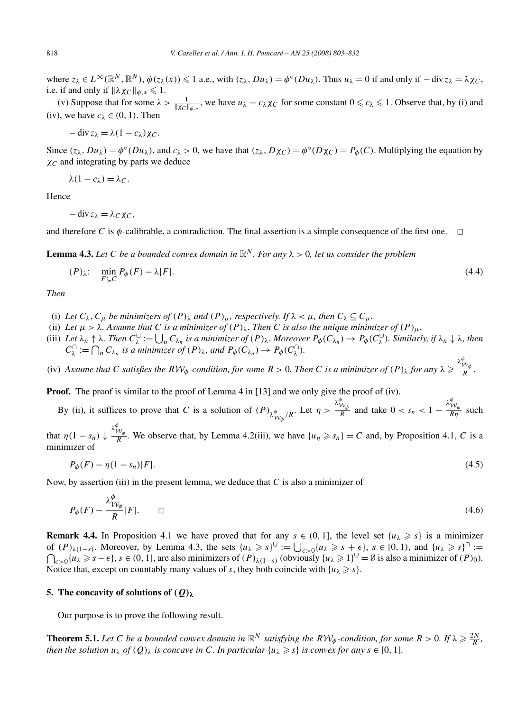where  $z_{\lambda} \in L^{\infty}(\mathbb{R}^{N}, \mathbb{R}^{N})$ ,  $\phi(z_{\lambda}(x)) \leq 1$  a.e., with  $(z_{\lambda}, Du_{\lambda}) = \phi^{\circ}(Du_{\lambda})$ . Thus  $u_{\lambda} = 0$  if and only if  $-\text{div} z_{\lambda} = \lambda \chi_{C}$ . i.e. if and only if  $\|\lambda \chi_C\|_{\phi,*} \leq 1$ .

(v) Suppose that for some  $\lambda > \frac{1}{\|\chi_C\|_{\phi,*}}$ , we have  $u_\lambda = c_\lambda \chi_C$  for some constant  $0 \leq c_\lambda \leq 1$ . Observe that, by (i) and (iv), we have  $c_{\lambda} \in (0, 1)$ . Then

$$
-\operatorname{div} z_{\lambda} = \lambda (1 - c_{\lambda}) \chi_C.
$$

Since  $(z_\lambda, Du_\lambda) = \phi^\circ(Du_\lambda)$ , and  $c_\lambda > 0$ , we have that  $(z_\lambda, D\chi_C) = \phi^\circ(D\chi_C) = P_\phi(C)$ . Multiplying the equation by *χC* and integrating by parts we deduce

$$
\lambda(1-c_{\lambda})=\lambda_C.
$$

Hence

 $-\operatorname{div} z_{\lambda} = \lambda_C \chi_C$ 

and therefore *C* is  $\phi$ -calibrable, a contradiction. The final assertion is a simple consequence of the first one.  $\Box$ 

**Lemma 4.3.** Let C be a bounded convex domain in  $\mathbb{R}^N$ . For any  $\lambda > 0$ , let us consider the problem

$$
(P)_{\lambda}: \quad \min_{F \subseteq C} P_{\phi}(F) - \lambda |F|.
$$
\n
$$
(4.4)
$$

*Then*

- (i) Let  $C_\lambda$ ,  $C_\mu$  be minimizers of  $(P)_\lambda$  and  $(P)_\mu$ , respectively. If  $\lambda < \mu$ , then  $C_\lambda \subseteq C_\mu$ .
- (ii) Let  $\mu > \lambda$ . Assume that C is a minimizer of  $(P)_{\lambda}$ . Then C is also the unique minimizer of  $(P)_{\mu}$ .
- (iii) Let  $\lambda_n \uparrow \lambda$ . Then  $C_{\lambda}^{\cup} := \bigcup_n C_{\lambda_n}$  is a minimizer of  $(P)_{\lambda}$ . Moreover  $P_{\phi}(C_{\lambda_n}) \to P_{\phi}(C_{\lambda}^{\cup})$ . Similarly, if  $\lambda_n \downarrow \lambda$ , then  $C_{\lambda}^{\cap} := \bigcap_{n} C_{\lambda_n}$  *is a minimizer of*  $(P)_{\lambda}$ *, and*  $P_{\phi}(C_{\lambda_n}) \to P_{\phi}(C_{\lambda}^{\cap})$ *.*

(iv) Assume that C satisfies the  $RW_\phi$ -condition, for some  $R > 0$ . Then C is a minimizer of  $(P)_\lambda$  for any  $\lambda \geq$  $\frac{\lambda_{\mathcal{W}_{\phi}}^{\phi}}{R}$ *.* 

**Proof.** The proof is similar to the proof of Lemma 4 in [13] and we only give the proof of (iv).

By (ii), it suffices to prove that *C* is a solution of  $(P)_{\lambda_{W_{\phi}}^{\phi}/R}$ . Let  $\eta >$ *λφ* W*φ*  $\frac{\partial w_{\phi}}{\partial R}$  and take  $0 < s_n < 1 - \frac{\lambda_1^d}{K}$  $\frac{W_{\phi}}{R\eta}$  such

that  $\eta(1 - s_n) \downarrow$  $\frac{\lambda_{\mathcal{W}_{\phi}}^{\phi}}{R}$ . We observe that, by Lemma 4.2(iii), we have  $\{u_{\eta} \geq s_{n}\} = C$  and, by Proposition 4.1, *C* is a minimizer of

$$
P_{\phi}(F) - \eta(1 - s_n)|F|.\tag{4.5}
$$

Now, by assertion (iii) in the present lemma, we deduce that *C* is also a minimizer of

$$
P_{\phi}(F) - \frac{\lambda_{\mathcal{W}_{\phi}}^{\phi}}{R}|F|. \qquad \Box \tag{4.6}
$$

**Remark 4.4.** In Proposition 4.1 we have proved that for any  $s \in (0, 1]$ , the level set  $\{u_\lambda \geq s\}$  is a minimizer of  $(P)_{\lambda(1-s)}$ . Moreover, by Lemma 4.3, the sets  $\{u_\lambda \geq s\}^{\cup} := \bigcup_{\epsilon > 0} \{u_\lambda \geq s + \epsilon\}, s \in [0, 1)$ , and  $\{u_\lambda \geq s\}^{\cap} :=$  $\bigcap_{\epsilon > 0} \{u_\lambda \geqslant s - \epsilon\}$ ,  $s \in (0, 1]$ , are also minimizers of  $(P)_{\lambda(1-s)}$  (obviously  $\{u_\lambda \geqslant 1\}^{\cup} = \emptyset$  is also a minimizer of  $(P)_0$ ). Notice that, except on countably many values of *s*, they both coincide with  $\{u_\lambda \geq s\}$ .

#### **5. The concavity of solutions of** *(Q)λ*

Our purpose is to prove the following result.

**Theorem 5.1.** Let C be a bounded convex domain in  $\mathbb{R}^N$  satisfying the  $R\mathcal{W}_{\phi}$ -condition, for some  $R > 0$ . If  $\lambda \geq \frac{2N}{R}$ , *then the solution*  $u_{\lambda}$  *of*  $(Q)_{\lambda}$  *is concave in C. In particular*  $\{u_{\lambda} \geq s\}$  *is convex for any*  $s \in [0, 1]$ *.*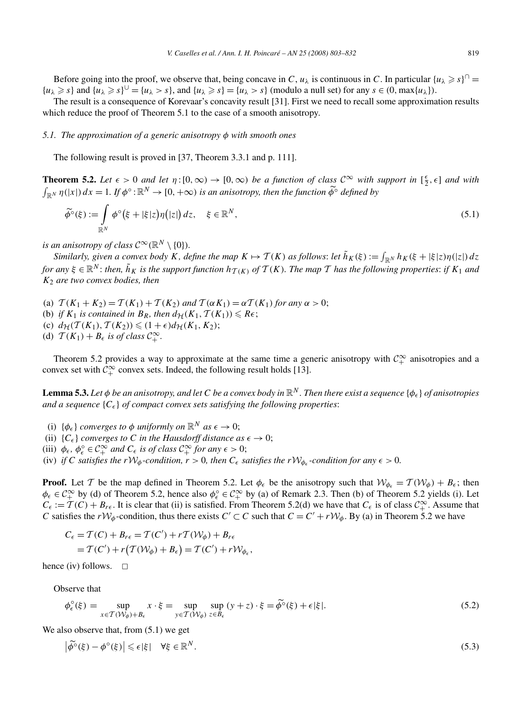Before going into the proof, we observe that, being concave in *C*,  $u_{\lambda}$  is continuous in *C*. In particular  $\{u_{\lambda} \geq s\}^{\cap}$  $\{u_{\lambda} \geq s\}$  and  $\{u_{\lambda} \geq s\} = \{u_{\lambda} > s\}$ , and  $\{u_{\lambda} \geq s\} = \{u_{\lambda} > s\}$  (modulo a null set) for any  $s \in (0, \max\{u_{\lambda}\})$ .

The result is a consequence of Korevaar's concavity result [31]. First we need to recall some approximation results which reduce the proof of Theorem 5.1 to the case of a smooth anisotropy.

#### *5.1. The approximation of a generic anisotropy φ with smooth ones*

The following result is proved in [37, Theorem 3.3.1 and p. 111].

**Theorem 5.2.** Let  $\epsilon > 0$  and let  $\eta : [0, \infty) \to [0, \infty)$  be a function of class  $\mathcal{C}^{\infty}$  with support in  $\left[\frac{\epsilon}{2}, \epsilon\right]$  and with  $\int_{\mathbb{R}^N} \eta(|x|) dx = 1$ *. If*  $\phi^\circ : \mathbb{R}^N \to [0, +\infty)$  *is an anisotropy, then the function*  $\widetilde{\phi}^\circ$  *defined by* 

$$
\widetilde{\phi}^{\circ}(\xi) := \int\limits_{\mathbb{R}^N} \phi^{\circ}(\xi + |\xi|z) \eta(|z|) dz, \quad \xi \in \mathbb{R}^N,
$$
\n(5.1)

*is an anisotropy of class*  $C^{\infty}(\mathbb{R}^N \setminus \{0\})$ *.* 

*Similarly, given a convex body*  $K$ *, define the map*  $K \mapsto \mathcal{T}(K)$  *as follows: let*  $\tilde{h}_K(\xi) := \int_{\mathbb{R}^N} h_K(\xi + |\xi|z)\eta(|z|) dz$ for any  $\xi \in \mathbb{R}^N$ : then,  $\tilde{h}_K$  is the support function  $h_{T(K)}$  of  $T(K)$ . The map T has the following properties: if  $K_1$  and *K*<sup>2</sup> *are two convex bodies, then*

- (a)  $T(K_1 + K_2) = T(K_1) + T(K_2)$  and  $T(\alpha K_1) = \alpha T(K_1)$  for any  $\alpha > 0$ ;
- (b) *if*  $K_1$  *is contained in*  $B_R$ *, then*  $d_{\mathcal{H}}(K_1, \mathcal{T}(K_1)) \leq R\epsilon$ ;
- $d_H(T(K_1), T(K_2)) \leq (1 + \epsilon) d_H(K_1, K_2);$
- (d)  $T(K_1) + B_\epsilon$  is of class  $C_+^{\infty}$ .

Theorem 5.2 provides a way to approximate at the same time a generic anisotropy with  $\mathcal{C}^{\infty}_+$  anisotropies and a convex set with  $C_+^{\infty}$  convex sets. Indeed, the following result holds [13].

**Lemma 5.3.** Let  $\phi$  be an anisotropy, and let C be a convex body in  $\mathbb{R}^N$ . Then there exist a sequence  $\{\phi_\epsilon\}$  of anisotropies *and a sequence*  ${C_{\epsilon}}$  *of compact convex sets satisfying the following properties:* 

- (i)  $\{\phi_{\epsilon}\}\$ converges to  $\phi$  *uniformly on*  $\mathbb{R}^{N}$  *as*  $\epsilon \rightarrow 0$ ;
- (ii)  ${C_{\epsilon}}$  *converges to C in the Hausdorff distance as*  $\epsilon \rightarrow 0$ ;
- (iii)  $\phi_{\epsilon}, \phi_{\epsilon}^{\circ} \in C_{+}^{\infty}$  *and*  $C_{\epsilon}$  *is of class*  $C_{+}^{\infty}$  *for any*  $\epsilon > 0$ ;
- (iv) *if C* satisfies the  $rW_{\phi}$ -condition,  $r > 0$ , then  $C_{\epsilon}$  satisfies the  $rW_{\phi_{\epsilon}}$ -condition for any  $\epsilon > 0$ .

**Proof.** Let T be the map defined in Theorem 5.2. Let  $\phi_{\epsilon}$  be the anisotropy such that  $\mathcal{W}_{\phi_{\epsilon}} = \mathcal{T}(\mathcal{W}_{\phi}) + B_{\epsilon}$ ; then  $\phi_{\epsilon} \in C^{\infty}_{+}$  by (d) of Theorem 5.2, hence also  $\phi_{\epsilon} \in C^{\infty}_{+}$  by (a) of Remark 2.3. Then (b) of Theorem 5.2 yields (i). Let  $C_{\epsilon} := \mathcal{T}(C) + B_{r\epsilon}$ . It is clear that (ii) is satisfied. From Theorem 5.2(d) we have that  $C_{\epsilon}$  is of class  $C_{+}^{\infty}$ . Assume that *C* satisfies the  $rW_{\phi}$ -condition, thus there exists  $C' \subset C$  such that  $C = C' + rW_{\phi}$ . By (a) in Theorem 5.2 we have

$$
C_{\epsilon} = T(C) + B_{r\epsilon} = T(C') + rT(W_{\phi}) + B_{r\epsilon}
$$
  
=  $T(C') + r(T(W_{\phi}) + B_{\epsilon}) = T(C') + rW_{\phi_{\epsilon}},$ 

hence (iv) follows.  $\Box$ 

Observe that

$$
\phi_{\epsilon}^{\circ}(\xi) = \sup_{x \in \mathcal{T}(W_{\phi}) + B_{\epsilon}} x \cdot \xi = \sup_{y \in \mathcal{T}(W_{\phi})} \sup_{z \in B_{\epsilon}} (y + z) \cdot \xi = \widetilde{\phi^{\circ}}(\xi) + \epsilon |\xi|.
$$
\n(5.2)

We also observe that, from (5.1) we get

$$
\left|\widetilde{\phi}^{\circ}(\xi) - \phi^{\circ}(\xi)\right| \leq \epsilon |\xi| \quad \forall \xi \in \mathbb{R}^{N}.
$$
\n(5.3)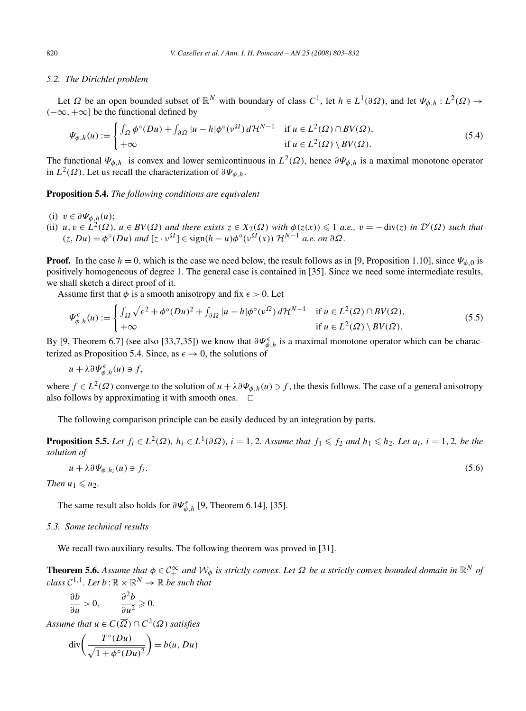#### *5.2. The Dirichlet problem*

Let  $\Omega$  be an open bounded subset of  $\mathbb{R}^N$  with boundary of class  $C^1$ , let  $h \in L^1(\partial \Omega)$ , and let  $\Psi_{\phi,h}: L^2(\Omega) \to$ *(*−∞*,*+∞] be the functional defined by

$$
\Psi_{\phi,h}(u) := \begin{cases} \int_{\Omega} \phi^{\circ}(Du) + \int_{\partial\Omega} |u - h| \phi^{\circ}(v^{\Omega}) d\mathcal{H}^{N-1} & \text{if } u \in L^{2}(\Omega) \cap BV(\Omega), \\ +\infty & \text{if } u \in L^{2}(\Omega) \setminus BV(\Omega). \end{cases}
$$
\n(5.4)

The functional  $\Psi_{\phi,h}$  is convex and lower semicontinuous in  $L^2(\Omega)$ , hence  $\partial\Psi_{\phi,h}$  is a maximal monotone operator in  $L^2(\Omega)$ . Let us recall the characterization of  $\partial \Psi_{\phi,h}$ .

**Proposition 5.4.** *The following conditions are equivalent*

- (i)  $v \in \partial \Psi_{\phi,h}(u)$ ;
- (ii)  $u, v \in L^2(\Omega)$ ,  $u \in BV(\Omega)$  and there exists  $z \in X_2(\Omega)$  with  $\phi(z(x)) \leq 1$  a.e.,  $v = -\text{div}(z)$  in  $\mathcal{D}'(\Omega)$  such that  $(z, Du) = \phi^{\circ}(Du)$  *and*  $[z \cdot v^{\Omega}] \in \text{sign}(h - u)\phi^{\circ}(v^{\Omega}(x))$   $\mathcal{H}^{N-1}$  *a.e. on*  $\partial \Omega$ *.*

**Proof.** In the case  $h = 0$ , which is the case we need below, the result follows as in [9, Proposition 1.10], since  $\Psi_{\phi,0}$  is positively homogeneous of degree 1. The general case is contained in [35]. Since we need some intermediate results, we shall sketch a direct proof of it.

Assume first that  $\phi$  is a smooth anisotropy and fix  $\epsilon > 0$ . Let

$$
\Psi_{\phi,h}^{\epsilon}(u) := \begin{cases} \int_{\Omega} \sqrt{\epsilon^2 + \phi^{\circ}(Du)^2} + \int_{\partial\Omega} |u - h| \phi^{\circ}(v^{\Omega}) d\mathcal{H}^{N-1} & \text{if } u \in L^2(\Omega) \cap BV(\Omega), \\ +\infty & \text{if } u \in L^2(\Omega) \setminus BV(\Omega). \end{cases}
$$
(5.5)

By [9, Theorem 6.7] (see also [33,7,35]) we know that  $\partial \Psi_{\phi,h}^{\epsilon}$  is a maximal monotone operator which can be characterized as Proposition 5.4. Since, as  $\epsilon \to 0$ , the solutions of

$$
u + \lambda \partial \Psi_{\phi,h}^{\epsilon}(u) \ni f,
$$

where  $f \in L^2(\Omega)$  converge to the solution of  $u + \lambda \partial \Psi_{\phi,h}(u) \ni f$ , the thesis follows. The case of a general anisotropy also follows by approximating it with smooth ones.  $\Box$ 

The following comparison principle can be easily deduced by an integration by parts.

**Proposition 5.5.** Let  $f_i \in L^2(\Omega)$ ,  $h_i \in L^1(\partial \Omega)$ ,  $i = 1, 2$ . Assume that  $f_1 \leqslant f_2$  and  $h_1 \leqslant h_2$ . Let  $u_i$ ,  $i = 1, 2$ , be the *solution of*

$$
u + \lambda \partial \Psi_{\phi, h_i}(u) \ni f_i. \tag{5.6}
$$

*Then*  $u_1 \leq u_2$ .

The same result also holds for  $\partial \Psi_{\phi,h}^{\epsilon}$  [9, Theorem 6.14], [35].

## *5.3. Some technical results*

We recall two auxiliary results. The following theorem was proved in [31].

**Theorem 5.6.** Assume that  $\phi \in C_+^{\infty}$  and  $W_{\phi}$  is strictly convex. Let  $\Omega$  be a strictly convex bounded domain in  $\mathbb{R}^N$  of *class*  $C^{1,1}$ *. Let*  $b : \mathbb{R} \times \mathbb{R}^N \to \mathbb{R}$  *be such that* 

$$
\frac{\partial b}{\partial u} > 0, \qquad \frac{\partial^2 b}{\partial u^2} \geqslant 0.
$$

*Assume that*  $u \in C(\overline{\Omega}) \cap C^2(\Omega)$  *satisfies* 

$$
\operatorname{div}\left(\frac{T^{\circ}(Du)}{\sqrt{1+\phi^{\circ}(Du)^2}}\right) = b(u, Du)
$$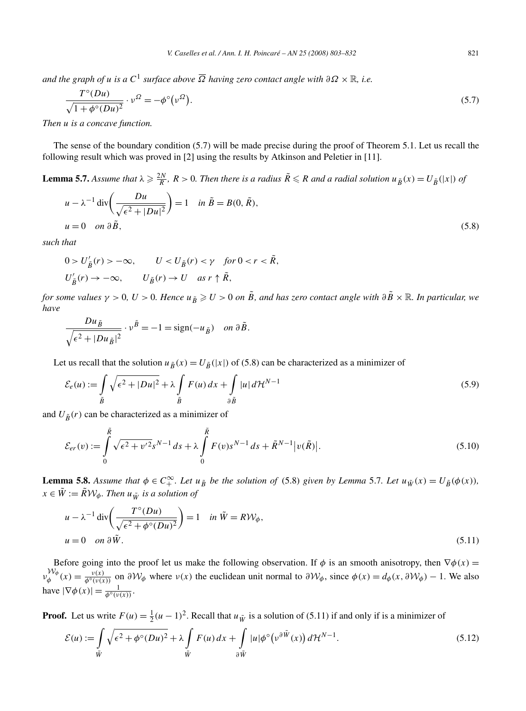*and the graph of u is a*  $C^1$  *surface above*  $\overline{\Omega}$  *having zero contact angle with*  $\partial \Omega \times \mathbb{R}$ *, i.e.* 

$$
\frac{T^{\circ}(Du)}{\sqrt{1+\phi^{\circ}(Du)^2}} \cdot \nu^{\Omega} = -\phi^{\circ}\left(\nu^{\Omega}\right). \tag{5.7}
$$

*Then u is a concave function.*

The sense of the boundary condition (5.7) will be made precise during the proof of Theorem 5.1. Let us recall the following result which was proved in [2] using the results by Atkinson and Peletier in [11].

**Lemma 5.7.** Assume that  $\lambda \geqslant \frac{2N}{R}$ ,  $R > 0$ . Then there is a radius  $\tilde{R} \leqslant R$  and a radial solution  $u_{\tilde{B}}(x) = U_{\tilde{B}}(|x|)$  of

$$
u - \lambda^{-1} \operatorname{div} \left( \frac{Du}{\sqrt{\epsilon^2 + |Du|^2}} \right) = 1 \quad \text{in } \tilde{B} = B(0, \tilde{R}),
$$
  
 
$$
u = 0 \quad \text{on } \partial \tilde{B}, \tag{5.8}
$$

*such that*

$$
\begin{aligned} 0 > U'_{\tilde{B}}(r) > -\infty, \qquad U < U_{\tilde{B}}(r) < \gamma \quad \text{for } 0 < r < \tilde{R}, \\ U'_{\tilde{B}}(r) > -\infty, \qquad U_{\tilde{B}}(r) > U \quad \text{as } r \uparrow \tilde{R}, \end{aligned}
$$

*for some values*  $\gamma > 0$ ,  $U > 0$ . Hence  $u_{\tilde{B}} \ge U > 0$  *on*  $\tilde{B}$ , and has zero contact angle with  $\partial \tilde{B} \times \mathbb{R}$ . In particular, we *have*

$$
\frac{Du_{\tilde{B}}}{\sqrt{\epsilon^2 + |Du_{\tilde{B}}|^2}} \cdot v^{\tilde{B}} = -1 = \text{sign}(-u_{\tilde{B}}) \quad on \ \partial \tilde{B}.
$$

Let us recall that the solution  $u_{\tilde{B}}(x) = U_{\tilde{B}}(|x|)$  of (5.8) can be characterized as a minimizer of

$$
\mathcal{E}_e(u) := \int_{\tilde{B}} \sqrt{\epsilon^2 + |Du|^2} + \lambda \int_{\tilde{B}} F(u) \, dx + \int_{\partial \tilde{B}} |u| \, d\mathcal{H}^{N-1} \tag{5.9}
$$

and  $U_{\tilde{B}}(r)$  can be characterized as a minimizer of

$$
\mathcal{E}_{er}(v) := \int_{0}^{\tilde{R}} \sqrt{\epsilon^2 + v'^2} s^{N-1} ds + \lambda \int_{0}^{\tilde{R}} F(v) s^{N-1} ds + \tilde{R}^{N-1} |v(\tilde{R})|.
$$
\n(5.10)

**Lemma 5.8.** Assume that  $\phi \in C_+^{\infty}$ . Let  $u_{\tilde{B}}$  be the solution of (5.8) given by Lemma 5.7. Let  $u_{\tilde{W}}(x) = U_{\tilde{B}}(\phi(x))$ ,  $x \in \tilde{W} := \tilde{R} \mathcal{W}_{\phi}$ *. Then*  $u_{\tilde{W}}$  *is a solution of* 

$$
u - \lambda^{-1} \operatorname{div} \left( \frac{T^{\circ} (Du)}{\sqrt{\epsilon^2 + \phi^{\circ} (Du)^2}} \right) = 1 \quad \text{in } \tilde{W} = R \mathcal{W}_{\phi},
$$
  
 
$$
u = 0 \quad \text{on } \partial \tilde{W}.
$$
 (5.11)

Before going into the proof let us make the following observation. If  $\phi$  is an smooth anisotropy, then  $\nabla \phi(x) =$  $v_{\phi}^{W_{\phi}}(x) = \frac{v(x)}{\phi^{\circ}(v(x))}$  on  $\partial W_{\phi}$  where  $v(x)$  the euclidean unit normal to  $\partial W_{\phi}$ , since  $\phi(x) = d_{\phi}(x, \partial W_{\phi}) - 1$ . We also have  $|\nabla \phi(x)| = \frac{1}{\phi^{\circ}(\nu(x))}$ .

**Proof.** Let us write  $F(u) = \frac{1}{2}(u-1)^2$ . Recall that  $u_{\tilde{W}}$  is a solution of (5.11) if and only if is a minimizer of

$$
\mathcal{E}(u) := \int\limits_{\tilde{W}} \sqrt{\epsilon^2 + \phi^\circ(Du)^2} + \lambda \int\limits_{\tilde{W}} F(u) \, dx + \int\limits_{\partial \tilde{W}} |u| \phi^\circ \big( v^{\partial \tilde{W}}(x) \big) \, d\mathcal{H}^{N-1}.
$$
\n(5.12)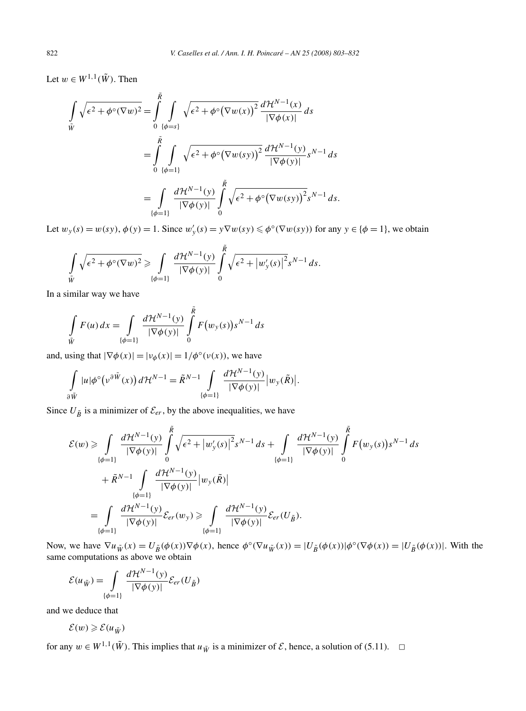Let  $w \in W^{1,1}(\tilde{W})$ . Then

$$
\int_{\tilde{W}} \sqrt{\epsilon^2 + \phi^\circ(\nabla w)^2} = \int_{0}^{\tilde{R}} \int_{\{\phi=s\}} \sqrt{\epsilon^2 + \phi^\circ(\nabla w(x))^2} \frac{d\mathcal{H}^{N-1}(x)}{|\nabla \phi(x)|} ds
$$
\n
$$
= \int_{0}^{\tilde{R}} \int_{\{\phi=1\}} \sqrt{\epsilon^2 + \phi^\circ(\nabla w(sy))^2} \frac{d\mathcal{H}^{N-1}(y)}{|\nabla \phi(y)|} s^{N-1} ds
$$
\n
$$
= \int_{\{\phi=1\}} \frac{d\mathcal{H}^{N-1}(y)}{|\nabla \phi(y)|} \int_{0}^{\tilde{R}} \sqrt{\epsilon^2 + \phi^\circ(\nabla w(sy))^2} s^{N-1} ds.
$$

Let  $w_y(s) = w(sy)$ ,  $\phi(y) = 1$ . Since  $w'_y(s) = y \nabla w(sy) \leq \phi^{\circ}(\nabla w(sy))$  for any  $y \in {\phi = 1}$ , we obtain

$$
\int\limits_{\tilde{W}}\sqrt{\epsilon^2+\phi^\circ(\nabla w)^2}\geqslant \int\limits_{\{\phi=1\}}\frac{d\mathcal{H}^{N-1}(y)}{|\nabla\phi(y)|}\int\limits_0^{\tilde{R}}\sqrt{\epsilon^2+|w'_y(s)|^2}s^{N-1}ds.
$$

In a similar way we have

$$
\int_{\tilde{W}} F(u) dx = \int_{\{\phi=1\}} \frac{d\mathcal{H}^{N-1}(y)}{|\nabla \phi(y)|} \int_{0}^{\tilde{R}} F(w_y(s)) s^{N-1} ds
$$

and, using that  $|\nabla \phi(x)| = |v_{\phi}(x)| = 1/\phi^{\circ}(v(x))$ , we have

$$
\int\limits_{\partial \tilde{W}} |u| \phi^{\circ} \big( v^{\partial \tilde{W}}(x) \big) d\mathcal{H}^{N-1} = \tilde{R}^{N-1} \int\limits_{\{\phi=1\}} \frac{d\mathcal{H}^{N-1}(y)}{|\nabla \phi(y)|} |w_y(\tilde{R})|.
$$

Since  $U_{\tilde{B}}$  is a minimizer of  $\mathcal{E}_{er}$ , by the above inequalities, we have

$$
\mathcal{E}(w) \geq \int_{\{\phi=1\}} \frac{d\mathcal{H}^{N-1}(y)}{|\nabla\phi(y)|} \int_0^{\tilde{R}} \sqrt{\epsilon^2 + |w'_y(s)|^2} s^{N-1} ds + \int_{\{\phi=1\}} \frac{d\mathcal{H}^{N-1}(y)}{|\nabla\phi(y)|} \int_0^{\tilde{R}} F(w_y(s)) s^{N-1} ds
$$
  
+  $\tilde{R}^{N-1} \int_{\{\phi=1\}} \frac{d\mathcal{H}^{N-1}(y)}{|\nabla\phi(y)|} |w_y(\tilde{R})|$   
= 
$$
\int_{\{\phi=1\}} \frac{d\mathcal{H}^{N-1}(y)}{|\nabla\phi(y)|} \mathcal{E}_{er}(w_y) \geq \int_{\{\phi=1\}} \frac{d\mathcal{H}^{N-1}(y)}{|\nabla\phi(y)|} \mathcal{E}_{er}(U_{\tilde{B}}).
$$

Now, we have  $\nabla u_{\tilde{W}}(x) = U_{\tilde{B}}(\phi(x))\nabla\phi(x)$ , hence  $\phi^{\circ}(\nabla u_{\tilde{W}}(x)) = |U_{\tilde{B}}(\phi(x))| \phi^{\circ}(\nabla\phi(x))| = |U_{\tilde{B}}(\phi(x))|$ . With the same computations as above we obtain

$$
\mathcal{E}(u_{\tilde{W}}) = \int\limits_{\{\phi=1\}} \frac{d\mathcal{H}^{N-1}(y)}{|\nabla \phi(y)|} \mathcal{E}_{er}(U_{\tilde{B}})
$$

and we deduce that

$$
\mathcal{E}(w) \geqslant \mathcal{E}(u_{\tilde{W}})
$$

for any  $w \in W^{1,1}(\tilde{W})$ . This implies that  $u_{\tilde{W}}$  is a minimizer of  $\mathcal E$ , hence, a solution of (5.11).  $\Box$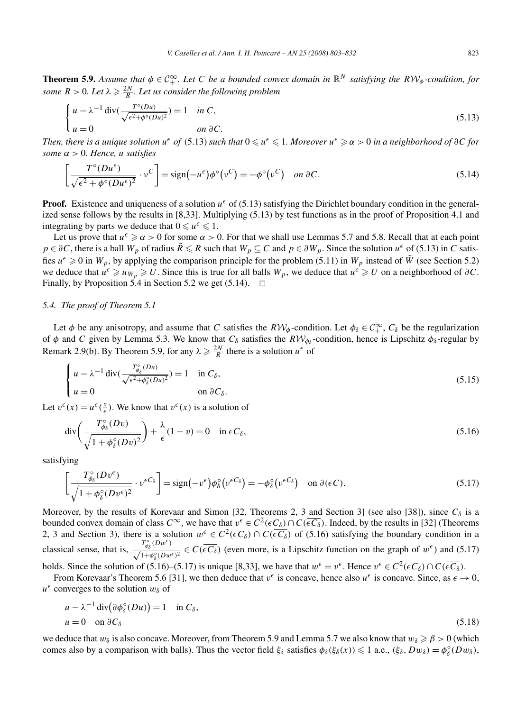**Theorem 5.9.** Assume that  $\phi \in C_+^{\infty}$ . Let C be a bounded convex domain in  $\mathbb{R}^N$  satisfying the  $RW_\phi$ -condition, for *some*  $R > 0$ *. Let*  $\lambda \geqslant \frac{2N}{R}$ *. Let us consider the following problem* 

$$
\begin{cases}\n u - \lambda^{-1} \operatorname{div}(\frac{T^{\circ}(Du)}{\sqrt{\epsilon^2 + \phi^{\circ}(Du)^2}}) = 1 & \text{in } C, \\
u = 0 & \text{on } \partial C.\n\end{cases}
$$
\n(5.13)

Then, there is a unique solution  $u^{\epsilon}$  of (5.13) such that  $0\leqslant u^{\epsilon}\leqslant 1$ . Moreover  $u^{\epsilon}\geqslant\alpha>0$  in a neighborhood of  $\partial C$  for *some α >* 0*. Hence, u satisfies*

$$
\left[\frac{T^{\circ}(Du^{\epsilon})}{\sqrt{\epsilon^2 + \phi^{\circ}(Du^{\epsilon})^2}} \cdot \nu^C\right] = \text{sign}\left(-u^{\epsilon}\right)\phi^{\circ}\left(\nu^C\right) = -\phi^{\circ}\left(\nu^C\right) \quad on \ \partial C. \tag{5.14}
$$

**Proof.** Existence and uniqueness of a solution  $u^{\epsilon}$  of (5.13) satisfying the Dirichlet boundary condition in the generalized sense follows by the results in [8,33]. Multiplying (5.13) by test functions as in the proof of Proposition 4.1 and integrating by parts we deduce that  $0 \le u^{\epsilon} \le 1$ .

Let us prove that  $u^{\epsilon} \ge \alpha > 0$  for some  $\alpha > 0$ . For that we shall use Lemmas 5.7 and 5.8. Recall that at each point *p* ∈ *∂C*, there is a ball *W<sub>p</sub>* of radius  $\tilde{R} \le R$  such that  $W_p ⊆ C$  and  $p ∈ \partial W_p$ . Since the solution  $u^ε$  of (5.13) in *C* satisfies  $u^{\epsilon} \ge 0$  in  $W_p$ , by applying the comparison principle for the problem (5.11) in  $W_p$  instead of  $\hat{W}$  (see Section 5.2) we deduce that  $u^{\epsilon} \geq u_{W_p} \geq U$ . Since this is true for all balls  $W_p$ , we deduce that  $u^{\epsilon} \geq U$  on a neighborhood of  $\partial C$ . Finally, by Proposition 5.4 in Section 5.2 we get  $(5.14)$ .  $\Box$ 

# *5.4. The proof of Theorem 5.1*

Let  $\phi$  be any anisotropy, and assume that *C* satisfies the  $R W_{\phi}$ -condition. Let  $\phi_{\delta} \in C_+^{\infty}$ ,  $C_{\delta}$  be the regularization of  $\phi$  and *C* given by Lemma 5.3. We know that  $C_\delta$  satisfies the  $R\mathcal{W}_{\phi_\delta}$ -condition, hence is Lipschitz  $\phi_\delta$ -regular by Remark 2.9(b). By Theorem 5.9, for any  $\lambda \ge \frac{2N}{R}$  there is a solution  $u^{\epsilon}$  of

$$
\begin{cases}\n u - \lambda^{-1} \operatorname{div}(\frac{T_{\phi_{\delta}}^{\circ}(Du)}{\sqrt{\epsilon^2 + \phi_{\delta}^{\circ}(Du)^2}}) = 1 & \text{in } C_{\delta}, \\
u = 0 & \text{on } \partial C_{\delta}.\n\end{cases}
$$
\n(5.15)

Let  $v^{\epsilon}(x) = u^{\epsilon}(\frac{x}{\epsilon})$ . We know that  $v^{\epsilon}(x)$  is a solution of

$$
\operatorname{div}\left(\frac{T_{\phi_{\delta}}^{\circ}(Dv)}{\sqrt{1+\phi_{\delta}^{\circ}(Dv)^2}}\right) + \frac{\lambda}{\epsilon}(1-v) = 0 \quad \text{in } \epsilon C_{\delta},\tag{5.16}
$$

satisfying

$$
\left[\frac{T_{\phi_{\delta}}^{\circ}(Dv^{\epsilon})}{\sqrt{1+\phi_{\delta}^{\circ}(Dv^{\epsilon})^2}} \cdot v^{\epsilon C_{\delta}}\right] = \text{sign}(-v^{\epsilon})\phi_{\delta}^{\circ}(v^{\epsilon C_{\delta}}) = -\phi_{\delta}^{\circ}(v^{\epsilon C_{\delta}}) \quad \text{on } \partial(\epsilon C). \tag{5.17}
$$

Moreover, by the results of Korevaar and Simon [32, Theorems 2, 3 and Section 3] (see also [38]), since  $C_{\delta}$  is a bounded convex domain of class  $C^{\infty}$ , we have that  $v^{\epsilon} \in C^2(\epsilon C_\delta) \cap C(\overline{\epsilon C_\delta})$ . Indeed, by the results in [32] (Theorems 2, 3 and Section 3), there is a solution  $w^{\epsilon} \in C^2(\epsilon C_\delta) \cap C(\epsilon \overline{C_\delta})$  of (5.16) satisfying the boundary condition in a classical sense, that is,  $\frac{T_{\phi_{\delta}}^{\circ}(Dw^{\epsilon})}{\sqrt{1+\phi_{\delta}^{\circ}(Dw^{\epsilon})^2}} \in C(\overline{\epsilon C_{\delta}})$  (even more, is a Lipschitz function on the graph of  $w^{\epsilon}$ ) and (5.17) holds. Since the solution of (5.16)–(5.17) is unique [8,33], we have that  $w^{\epsilon} = v^{\epsilon}$ . Hence  $v^{\epsilon} \in C^2(\epsilon C_\delta) \cap C(\overline{\epsilon C_\delta})$ .

From Korevaar's Theorem 5.6 [31], we then deduce that  $v^{\epsilon}$  is concave, hence also  $u^{\epsilon}$  is concave. Since, as  $\epsilon \to 0$ ,

 $u^{\epsilon}$  converges to the solution  $w_{\delta}$  of

$$
u - \lambda^{-1} \operatorname{div}(\partial \phi_{\delta}^{\circ}(Du)) = 1 \quad \text{in } C_{\delta},
$$
  
 
$$
u = 0 \quad \text{on } \partial C_{\delta}
$$
 (5.18)

we deduce that  $w_\delta$  is also concave. Moreover, from Theorem 5.9 and Lemma 5.7 we also know that  $w_\delta \geq \beta > 0$  (which comes also by a comparison with balls). Thus the vector field  $\xi_{\delta}$  satisfies  $\phi_{\delta}(\xi_{\delta}(x)) \leq 1$  a.e.,  $(\xi_{\delta}, Dw_{\delta}) = \phi_{\delta}^{\circ}(Dw_{\delta})$ ,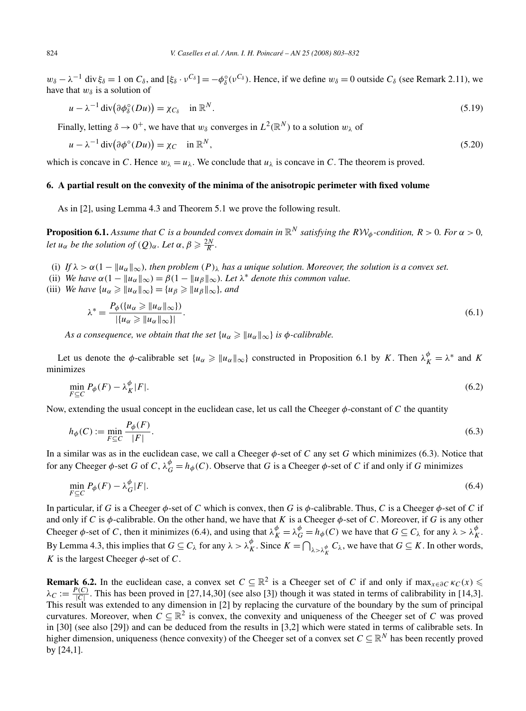$w_{\delta} - \lambda^{-1}$  div  $\xi_{\delta} = 1$  on  $C_{\delta}$ , and  $[\xi_{\delta} \cdot v^{C_{\delta}}] = -\phi_{\delta}^{\circ}(v^{C_{\delta}})$ . Hence, if we define  $w_{\delta} = 0$  outside  $C_{\delta}$  (see Remark 2.11), we have that  $w_\delta$  is a solution of

$$
u - \lambda^{-1} \operatorname{div} \left( \partial \phi_{\delta}^{\circ} (Du) \right) = \chi_{C_{\delta}} \quad \text{in } \mathbb{R}^{N}.
$$

Finally, letting  $\delta \rightarrow 0^+$ , we have that  $w_\delta$  converges in  $L^2(\mathbb{R}^N)$  to a solution  $w_\delta$  of

$$
u - \lambda^{-1} \operatorname{div}(\partial \phi^{\circ}(Du)) = \chi_C \quad \text{in } \mathbb{R}^N, \tag{5.20}
$$

which is concave in *C*. Hence  $w_{\lambda} = u_{\lambda}$ . We conclude that  $u_{\lambda}$  is concave in *C*. The theorem is proved.

# **6. A partial result on the convexity of the minima of the anisotropic perimeter with fixed volume**

As in [2], using Lemma 4.3 and Theorem 5.1 we prove the following result.

**Proposition 6.1.** *Assume that C is a bounded convex domain in*  $\mathbb{R}^N$  *satisfying the*  $RV_{\phi}$ *-condition,*  $R > 0$ *. For*  $\alpha > 0$ *, let u<sub>α</sub> be the solution of*  $(Q)_\alpha$ *. Let*  $\alpha$ *,*  $\beta \geq \frac{2N}{R}$ *.* 

- (i) If  $\lambda > \alpha(1 ||u_{\alpha}||_{\infty})$ , then problem  $(P)_{\lambda}$  has a unique solution. Moreover, the solution is a convex set.
- (ii) *We have*  $\alpha(1 ||u_{\alpha}||_{\infty}) = \beta(1 ||u_{\beta}||_{\infty})$ *. Let*  $\lambda^*$  *denote this common value.*
- (iii) *We have*  $\{u_{\alpha} \geq ||u_{\alpha}||_{\infty}\} = \{u_{\beta} \geq ||u_{\beta}||_{\infty}\}$ *, and*

$$
\lambda^* = \frac{P_{\phi}(\{u_{\alpha} \ge \|u_{\alpha}\|_{\infty}\})}{|\{u_{\alpha} \ge \|u_{\alpha}\|_{\infty}\}|}.
$$
\n(6.1)

*As a consequence, we obtain that the set*  ${u_\alpha \geq ||u_\alpha||_\infty}$  *is*  $\phi$ *-calibrable.* 

Let us denote the *φ*-calibrable set  $\{u_{\alpha} \geq ||u_{\alpha}||_{\infty}\}$  constructed in Proposition 6.1 by *K*. Then  $\lambda_K^{\phi} = \lambda^*$  and *K* minimizes

$$
\min_{F \subseteq C} P_{\phi}(F) - \lambda_K^{\phi}|F|.
$$
\n(6.2)

Now, extending the usual concept in the euclidean case, let us call the Cheeger  $\phi$ -constant of *C* the quantity

$$
h_{\phi}(C) := \min_{F \subseteq C} \frac{P_{\phi}(F)}{|F|}.
$$
\n
$$
(6.3)
$$

In a similar was as in the euclidean case, we call a Cheeger  $\phi$ -set of *C* any set *G* which minimizes (6.3). Notice that for any Cheeger  $\phi$ -set *G* of *C*,  $\lambda_G^{\phi} = h_{\phi}(C)$ . Observe that *G* is a Cheeger  $\phi$ -set of *C* if and only if *G* minimizes

$$
\min_{F \subseteq C} P_{\phi}(F) - \lambda_G^{\phi}|F|.
$$
\n(6.4)

In particular, if *G* is a Cheeger *φ*-set of *C* which is convex, then *G* is *φ*-calibrable. Thus, *C* is a Cheeger *φ*-set of *C* if and only if *C* is  $\phi$ -calibrable. On the other hand, we have that *K* is a Cheeger  $\phi$ -set of *C*. Moreover, if *G* is any other Cheeger  $\phi$ -set of *C*, then it minimizes (6.4), and using that  $\lambda_K^{\phi} = \lambda_G^{\phi} = h_{\phi}(C)$  we have that  $G \subseteq C_{\lambda}$  for any  $\lambda > \lambda_K^{\phi}$ . By Lemma 4.3, this implies that  $G \subseteq C_\lambda$  for any  $\lambda > \lambda_K^{\phi}$ . Since  $K = \bigcap_{\lambda > \lambda_K^{\phi}} C_\lambda$ , we have that  $G \subseteq K$ . In other words, *K* is the largest Cheeger  $\phi$ -set of *C*.

**Remark 6.2.** In the euclidean case, a convex set  $C \subseteq \mathbb{R}^2$  is a Cheeger set of *C* if and only if  $\max_{x \in \partial C} \kappa_C(x)$  $\lambda_C := \frac{P(C)}{|C|}$ . This has been proved in [27,14,30] (see also [3]) though it was stated in terms of calibrability in [14,3]. This result was extended to any dimension in [2] by replacing the curvature of the boundary by the sum of principal curvatures. Moreover, when  $C \subseteq \mathbb{R}^2$  is convex, the convexity and uniqueness of the Cheeger set of *C* was proved in [30] (see also [29]) and can be deduced from the results in [3,2] which were stated in terms of calibrable sets. In higher dimension, uniqueness (hence convexity) of the Cheeger set of a convex set  $C \subseteq \mathbb{R}^N$  has been recently proved by [24,1].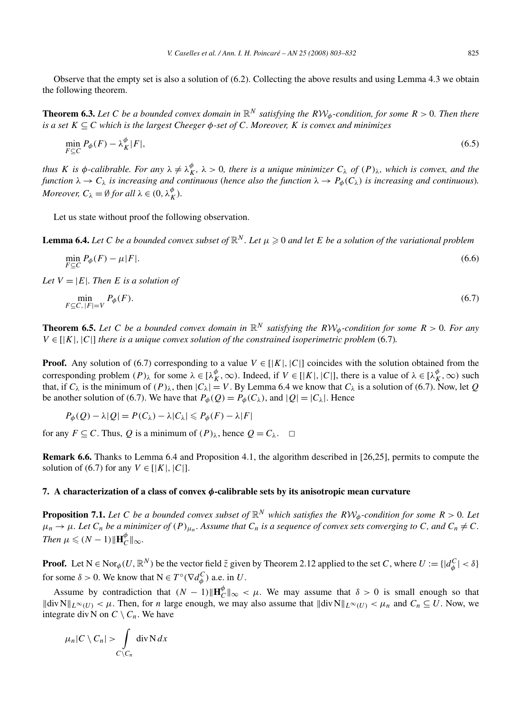Observe that the empty set is also a solution of (6.2). Collecting the above results and using Lemma 4.3 we obtain the following theorem.

**Theorem 6.3.** Let C be a bounded convex domain in  $\mathbb{R}^N$  satisfying the  $R\mathcal{W}_{\phi}$ -condition, for some  $R > 0$ . Then there *is a set*  $K \subseteq C$  *which is the largest Cheeger*  $\phi$ -set of *C. Moreover, K is convex and minimizes* 

$$
\min_{F \subseteq C} P_{\phi}(F) - \lambda_K^{\phi}|F|,\tag{6.5}
$$

thus K is  $\phi$ -calibrable. For any  $\lambda \neq \lambda_K^{\phi}$ ,  $\lambda > 0$ , there is a unique minimizer  $C_\lambda$  of  $(P)_\lambda$ , which is convex, and the *function*  $\lambda \to C_{\lambda}$  *is increasing and continuous (hence also the function*  $\lambda \to P_{\phi}(C_{\lambda})$  *is increasing and continuous*). *Moreover,*  $C_{\lambda} = \emptyset$  *for all*  $\lambda \in (0, \lambda_K^{\phi})$ *.* 

Let us state without proof the following observation.

**Lemma 6.4.** Let C be a bounded convex subset of  $\mathbb{R}^N$ . Let  $\mu \geq 0$  and let E be a solution of the variational problem

$$
\min_{F \subseteq C} P_{\phi}(F) - \mu |F|.
$$
\n(6.6)

*Let*  $V = |E|$ *. Then E is a solution of* 

$$
\min_{F \subseteq C, |F| = V} P_{\phi}(F). \tag{6.7}
$$

**Theorem 6.5.** Let C be a bounded convex domain in  $\mathbb{R}^N$  satisfying the  $RW_\phi$ -condition for some  $R > 0$ . For any  $V \in |K|$ ,  $|C|$  *there is a unique convex solution of the constrained isoperimetric problem* (6.7)*.* 

**Proof.** Any solution of (6.7) corresponding to a value  $V \in [K|, |C|]$  coincides with the solution obtained from the corresponding problem  $(P)_{\lambda}$  for some  $\lambda \in [\lambda_K^{\phi}, \infty)$ . Indeed, if  $V \in [|K|, |C|]$ , there is a value of  $\lambda \in [\lambda_K^{\phi}, \infty)$  such that, if  $C_\lambda$  is the minimum of  $(P)_\lambda$ , then  $|C_\lambda| = V$ . By Lemma 6.4 we know that  $C_\lambda$  is a solution of (6.7). Now, let *Q* be another solution of (6.7). We have that  $P_{\phi}(Q) = P_{\phi}(C_{\lambda})$ , and  $|Q| = |C_{\lambda}|$ . Hence

$$
P_{\phi}(Q) - \lambda |Q| = P(C_{\lambda}) - \lambda |C_{\lambda}| \leq P_{\phi}(F) - \lambda |F|
$$

for any  $F \subseteq C$ . Thus, *Q* is a minimum of  $(P)_{\lambda}$ , hence  $Q = C_{\lambda}$ .  $\Box$ 

**Remark 6.6.** Thanks to Lemma 6.4 and Proposition 4.1, the algorithm described in [26,25], permits to compute the solution of (6.7) for any  $V \in [K, |C|]$ .

## **7. A characterization of a class of convex** *φ***-calibrable sets by its anisotropic mean curvature**

**Proposition 7.1.** Let C be a bounded convex subset of  $\mathbb{R}^N$  which satisfies the  $R\mathcal{W}_{\phi}$ -condition for some  $R > 0$ . Let  $\mu_n \to \mu$ . Let  $C_n$  be a minimizer of  $(P)_{\mu_n}$ . Assume that  $C_n$  is a sequence of convex sets converging to C, and  $C_n \neq C$ . *Then*  $\mu \leqslant (N-1)$   $\|\mathbf{H}_C^{\phi}\|_{\infty}$ .

**Proof.** Let  $N \in \text{Nor}_{\phi}(U, \mathbb{R}^{N})$  be the vector field  $\tilde{z}$  given by Theorem 2.12 applied to the set *C*, where  $U := \{ |d_{\phi}^{C}| < \delta \}$ for some  $\delta > 0$ . We know that  $N \in T^{\circ}(\nabla d_{\phi}^{C})$  a.e. in *U*.

Assume by contradiction that  $(N - 1)$   $\|\mathbf{H}_C^{\phi}\|_{\infty} < \mu$ . We may assume that  $\delta > 0$  is small enough so that  $\|\text{div}\,\mathbf{N}\|_{L^{\infty}(U)} < \mu$ . Then, for *n* large enough, we may also assume that  $\|\text{div}\,\mathbf{N}\|_{L^{\infty}(U)} < \mu_n$  and  $C_n \subseteq U$ . Now, we integrate div N on  $C \setminus C_n$ . We have

$$
\mu_n|C\setminus C_n| > \int\limits_{C\setminus C_n} \operatorname{div} \operatorname{N} dx
$$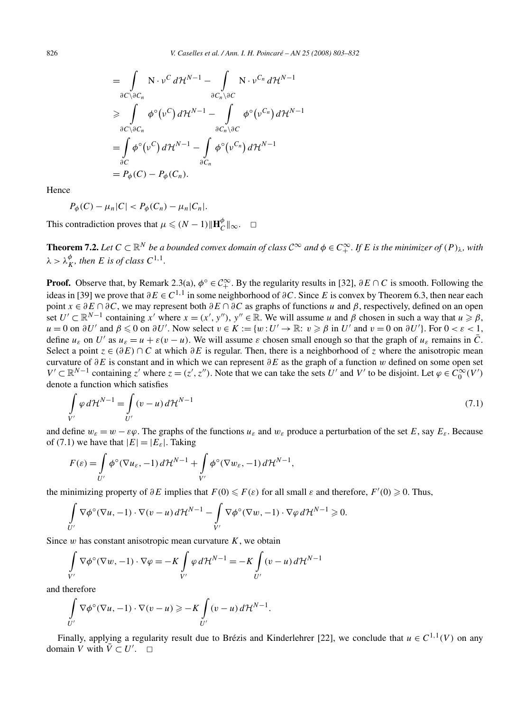$$
= \int_{\partial C \setminus \partial C_n} N \cdot \nu^C d\mathcal{H}^{N-1} - \int_{\partial C_n \setminus \partial C} N \cdot \nu^{C_n} d\mathcal{H}^{N-1}
$$
  
\n
$$
\geq \int_{\partial C \setminus \partial C_n} \phi^{\circ}(\nu^C) d\mathcal{H}^{N-1} - \int_{\partial C_n \setminus \partial C} \phi^{\circ}(\nu^{C_n}) d\mathcal{H}^{N-1}
$$
  
\n
$$
= \int_{\partial C} \phi^{\circ}(\nu^C) d\mathcal{H}^{N-1} - \int_{\partial C_n} \phi^{\circ}(\nu^{C_n}) d\mathcal{H}^{N-1}
$$
  
\n
$$
= P_{\phi}(C) - P_{\phi}(C_n).
$$

Hence

$$
P_{\phi}(C) - \mu_n |C| < P_{\phi}(C_n) - \mu_n |C_n|.
$$

This contradiction proves that  $\mu \leq (N-1) \|\mathbf{H}_C^{\phi}\|_{\infty}$ .  $\Box$ 

**Theorem 7.2.** Let  $C \subset \mathbb{R}^N$  be a bounded convex domain of class  $C^{\infty}$  and  $\phi \in C^{\infty}_+$ . If E is the minimizer of  $(P)_{\lambda}$ , with  $\lambda > \lambda_K^{\phi}$ *, then E is of class*  $C^{1,1}$ *.* 

**Proof.** Observe that, by Remark 2.3(a),  $\phi$ <sup></sup><sup>°</sup>  $\in C_+^{\infty}$ . By the regularity results in [32],  $\partial E \cap C$  is smooth. Following the ideas in [39] we prove that  $\partial E \in C^{1,1}$  in some neighborhood of  $\partial C$ . Since *E* is convex by Theorem 6.3, then near each point *x* ∈ *∂E* ∩ *∂C*, we may represent both *∂E* ∩ *∂C* as graphs of functions *u* and *β*, respectively, defined on an open set  $U' \subset \mathbb{R}^{N-1}$  containing  $x'$  where  $x = (x', y'')$ ,  $y'' \in \mathbb{R}$ . We will assume *u* and  $\beta$  chosen in such a way that  $u \ge \beta$ ,  $u = 0$  on  $\partial U'$  and  $\beta \leq 0$  on  $\partial U'$ . Now select  $v \in K := \{w : U' \to \mathbb{R} : v \geq \beta \text{ in } U'$  and  $v = 0$  on  $\partial U'$ . For  $0 < \varepsilon < 1$ , define  $u_{\varepsilon}$  on *U'* as  $u_{\varepsilon} = u + \varepsilon (v - u)$ . We will assume  $\varepsilon$  chosen small enough so that the graph of  $u_{\varepsilon}$  remains in  $\overline{C}$ . Select a point  $z \in (\partial E) \cap C$  at which  $\partial E$  is regular. Then, there is a neighborhood of *z* where the anisotropic mean curvature of *∂E* is constant and in which we can represent *∂E* as the graph of a function *w* defined on some open set *V*  $'$  ⊂  $\mathbb{R}^{N-1}$  containing *z*' where *z* =  $(z', z'')$ . Note that we can take the sets *U*' and *V*' to be disjoint. Let  $\varphi \in C_0^{\infty}(V')$ denote a function which satisfies

$$
\int_{V'} \varphi d\mathcal{H}^{N-1} = \int_{U'} (v - u) d\mathcal{H}^{N-1}
$$
\n(7.1)

and define  $w_{\varepsilon} = w - \varepsilon \varphi$ . The graphs of the functions  $u_{\varepsilon}$  and  $w_{\varepsilon}$  produce a perturbation of the set *E*, say  $E_{\varepsilon}$ . Because of (7.1) we have that  $|E|=|E_{\varepsilon}|$ . Taking

$$
F(\varepsilon) = \int_{U'} \phi^{\circ}(\nabla u_{\varepsilon}, -1) d\mathcal{H}^{N-1} + \int_{V'} \phi^{\circ}(\nabla w_{\varepsilon}, -1) d\mathcal{H}^{N-1},
$$

the minimizing property of  $\partial E$  implies that  $F(0) \leq F(\varepsilon)$  for all small  $\varepsilon$  and therefore,  $F'(0) \geq 0$ . Thus,

$$
\int\limits_{U'}\nabla\phi^\circ(\nabla u,-1)\cdot\nabla(v-u)\,d\mathcal{H}^{N-1}-\int\limits_{V'}\nabla\phi^\circ(\nabla w,-1)\cdot\nabla\varphi\,d\mathcal{H}^{N-1}\geq 0.
$$

Since *w* has constant anisotropic mean curvature *K*, we obtain

$$
\int_{V'} \nabla \phi^{\circ} (\nabla w, -1) \cdot \nabla \phi = -K \int_{V'} \varphi \, d\mathcal{H}^{N-1} = -K \int_{U'} (v - u) \, d\mathcal{H}^{N-1}
$$

and therefore

$$
\int_{U'} \nabla \phi^{\circ} (\nabla u, -1) \cdot \nabla (v - u) \geqslant -K \int_{U'} (v - u) d\mathcal{H}^{N-1}.
$$

Finally, applying a regularity result due to Brézis and Kinderlehrer [22], we conclude that  $u \in C^{1,1}(V)$  on any domain *V* with  $\overline{V} \subset U'$ .  $\Box$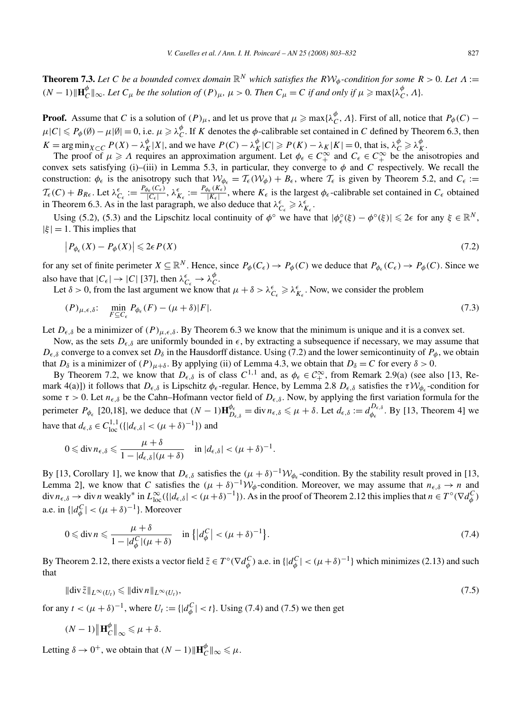**Theorem 7.3.** Let C be a bounded convex domain  $\mathbb{R}^N$  which satisfies the  $RVW_\phi$ -condition for some  $R > 0$ . Let  $\Lambda :=$  $(N-1)\|\mathbf{H}_{\mathcal{C}}^{\phi}\|_{\infty}$ . Let  $C_{\mu}$  be the solution of  $(P)_{\mu}$ ,  $\mu > 0$ . Then  $C_{\mu} = C$  if and only if  $\mu \ge \max\{\lambda_{\mathcal{C}}^{\phi}, \Lambda\}$ .

**Proof.** Assume that *C* is a solution of  $(P)_{\mu}$ , and let us prove that  $\mu \ge \max{\lambda_C^{\phi}}$ , *A*}. First of all, notice that  $P_{\phi}(C)$  –  $\mu|C| \leq P_{\phi}(\emptyset) - \mu|\emptyset| = 0$ , i.e.  $\mu \geq \lambda_C^{\phi}$ . If *K* denotes the  $\phi$ -calibrable set contained in *C* defined by Theorem 6.3, then  $K = \arg \min_{X \subset C} P(X) - \lambda_K^{\phi} |X|$ , and we have  $P(C) - \lambda_K^{\phi} |C| \ge P(K) - \lambda_K |K| = 0$ , that is,  $\lambda_C^{\phi} \ge \lambda_K^{\phi}$ .

The proof of  $\mu \geq \Lambda$  requires an approximation argument. Let  $\phi_{\epsilon} \in C_+^{\infty}$  and  $C_{\epsilon} \in C_+^{\infty}$  be the anisotropies and convex sets satisfying (i)–(iii) in Lemma 5.3, in particular, they converge to  $\phi$  and *C* respectively. We recall the construction:  $\phi_{\epsilon}$  is the anisotropy such that  $\mathcal{W}_{\phi_{\epsilon}} = \mathcal{T}_{\epsilon}(\mathcal{W}_{\phi}) + B_{\epsilon}$ , where  $\mathcal{T}_{\epsilon}$  is given by Theorem 5.2, and  $C_{\epsilon} :=$  $\mathcal{T}_{\epsilon}(C) + B_{R\epsilon}$ . Let  $\lambda_{C_{\epsilon}}^{\epsilon} := \frac{P_{\phi_{\epsilon}}(C_{\epsilon})}{|C_{\epsilon}|}, \lambda_{K_{\epsilon}}^{\epsilon} := \frac{P_{\phi_{\epsilon}}(K_{\epsilon})}{|K_{\epsilon}|}$ , where  $K_{\epsilon}$  is the largest  $\phi_{\epsilon}$ -calibrable set contained in  $C_{\epsilon}$  obtained in Theorem 6.3. As in the last paragraph, we also deduce that  $\lambda_{C_{\epsilon}}^{\epsilon} \geq \lambda_{K_{\epsilon}}^{\epsilon}$ .

Using (5.2), (5.3) and the Lipschitz local continuity of  $\phi^{\circ}$  we have that  $|\phi_{\epsilon}^{\circ}(\xi) - \phi^{\circ}(\xi)| \leq 2\epsilon$  for any  $\xi \in \mathbb{R}^{N}$ ,  $|\xi| = 1$ . This implies that

$$
\left| P_{\phi_{\epsilon}}(X) - P_{\phi}(X) \right| \leqslant 2\epsilon P(X) \tag{7.2}
$$

for any set of finite perimeter  $X \subseteq \mathbb{R}^N$ . Hence, since  $P_\phi(C_\epsilon) \to P_\phi(C)$  we deduce that  $P_{\phi_\epsilon}(C_\epsilon) \to P_\phi(C)$ . Since we also have that  $|C_{\epsilon}| \to |C|$  [37], then  $\lambda_{C_{\epsilon}}^{\epsilon} \to \lambda_{C}^{\phi}$ .

Let  $\delta > 0$ , from the last argument we know that  $\mu + \delta > \lambda_{C_{\epsilon}}^{\epsilon} \ge \lambda_{K_{\epsilon}}^{\epsilon}$ . Now, we consider the problem

$$
(P)_{\mu,\epsilon,\delta}:\n\min_{F\subseteq C_{\epsilon}} P_{\phi_{\epsilon}}(F) - (\mu+\delta)|F|.\n\tag{7.3}
$$

Let  $D_{\epsilon,\delta}$  be a minimizer of  $(P)_{\mu,\epsilon,\delta}$ . By Theorem 6.3 we know that the minimum is unique and it is a convex set.

Now, as the sets  $D_{\epsilon,\delta}$  are uniformly bounded in  $\epsilon$ , by extracting a subsequence if necessary, we may assume that  $D_{\epsilon,\delta}$  converge to a convex set  $D_{\delta}$  in the Hausdorff distance. Using (7.2) and the lower semicontinuity of  $P_{\phi}$ , we obtain that  $D_\delta$  is a minimizer of  $(P)_{\mu+\delta}$ . By applying (ii) of Lemma 4.3, we obtain that  $D_\delta = C$  for every  $\delta > 0$ .

By Theorem 7.2, we know that  $D_{\epsilon,\delta}$  is of class  $C^{1,1}$  and, as  $\phi_{\epsilon} \in C^{\infty}_{+}$ , from Remark 2.9(a) (see also [13, Remark 4(a)]) it follows that  $D_{\epsilon,\delta}$  is Lipschitz  $\phi_{\epsilon}$ -regular. Hence, by Lemma 2.8  $D_{\epsilon,\delta}$  satisfies the  $\tau W_{\phi_{\epsilon}}$ -condition for some  $\tau > 0$ . Let  $n_{\epsilon,\delta}$  be the Cahn–Hofmann vector field of  $D_{\epsilon,\delta}$ . Now, by applying the first variation formula for the perimeter  $P_{\phi_{\epsilon}}$  [20,18], we deduce that  $(N-1)\mathbf{H}_{D_{\epsilon,\delta}}^{\phi_{\epsilon}} = \text{div } n_{\epsilon,\delta} \le \mu + \delta$ . Let  $d_{\epsilon,\delta} := d_{\phi_{\epsilon}}^{D_{\epsilon,\delta}}$ . By [13, Theorem 4] we have that  $d_{\epsilon,\delta} \in C_{loc}^{1,1} (\{|d_{\epsilon,\delta}| < (\mu + \delta)^{-1}\})$  and

$$
0 \leqslant \operatorname{div} n_{\epsilon,\delta} \leqslant \frac{\mu+\delta}{1-|d_{\epsilon,\delta}|(\mu+\delta)} \quad \text{in } |d_{\epsilon,\delta}| < (\mu+\delta)^{-1}.
$$

By [13, Corollary 1], we know that  $D_{\epsilon,\delta}$  satisfies the  $(\mu + \delta)^{-1} \mathcal{W}_{\phi_{\epsilon}}$ -condition. By the stability result proved in [13, Lemma 2], we know that *C* satisfies the  $(\mu + \delta)^{-1}W_{\phi}$ -condition. Moreover, we may assume that  $n_{\epsilon,\delta} \to n$  and div  $n_{\epsilon,\delta} \to$  div n weakly\* in  $L^{\infty}_{loc}(\{|d_{\epsilon,\delta}| < (\mu + \delta)^{-1}\})$ . As in the proof of Theorem 2.12 this implies that  $n \in T^{\circ}(\nabla d^C_{\phi})$ a.e. in  $\{|d_{\phi}^{C}| < (\mu + \delta)^{-1}\}\)$ . Moreover

$$
0 \le \text{div}\,n \le \frac{\mu + \delta}{1 - |d_{\phi}^C|(\mu + \delta)} \quad \text{in } \left\{ |d_{\phi}^C| < (\mu + \delta)^{-1} \right\}.\tag{7.4}
$$

By Theorem 2.12, there exists a vector field  $\tilde{z} \in T^{\circ}(\nabla d^C_{\phi})$  a.e. in  $\{|d^C_{\phi}| < (\mu + \delta)^{-1}\}\$  which minimizes (2.13) and such that

$$
\|\operatorname{div}\tilde{z}\|_{L^{\infty}(U_t)} \leq \|\operatorname{div} n\|_{L^{\infty}(U_t)},
$$
\n(7.5)

for any  $t < (\mu + \delta)^{-1}$ , where  $U_t := \{ |d^C_{\phi}| < t \}$ . Using (7.4) and (7.5) we then get

$$
(N-1)\left\|\mathbf{H}_{C}^{\phi}\right\|_{\infty} \leq \mu + \delta.
$$

Letting  $\delta \to 0^+$ , we obtain that  $(N - 1)$   $\|\mathbf{H}_C^{\phi}\|_{\infty} \le \mu$ .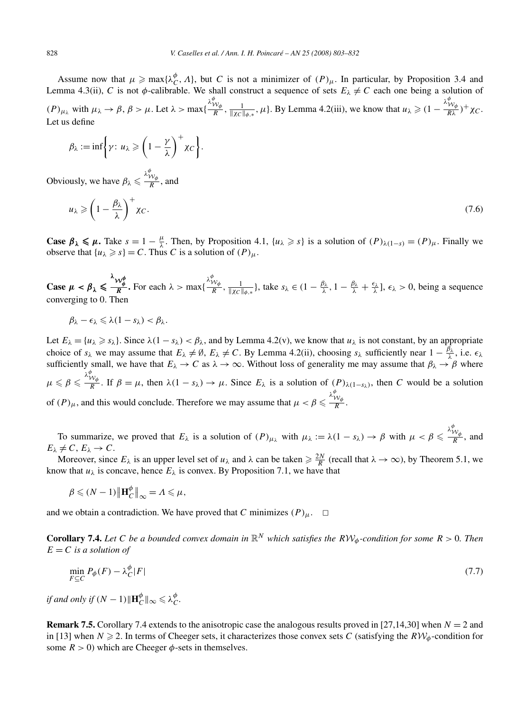Assume now that  $\mu \ge \max{\lambda_C^{\phi}}$ , *Λ*}, but *C* is not a minimizer of  $(P)_{\mu}$ . In particular, by Proposition 3.4 and Lemma 4.3(ii), *C* is not  $\phi$ -calibrable. We shall construct a sequence of sets  $E_\lambda \neq C$  each one being a solution of  $(P)_{\mu_{\lambda}}$  with  $\mu_{\lambda} \rightarrow \beta$ ,  $\beta > \mu$ . Let  $\lambda > \max\{$  $\frac{\lambda_{\mathcal{W}_{\phi}}^{\phi}}{R}$ ,  $\frac{1}{\|\chi_{\mathcal{C}}\|_{\phi,*}}$ ,  $\mu$ . By Lemma 4.2(iii), we know that  $u_{\lambda} \geq 1 - \frac{\lambda_{\lambda}^{\phi}}{R}$ W*φ Rλ )*<sup>+</sup>*χC*. Let us define

$$
\beta_{\lambda} := \inf \biggl\{ \gamma \colon u_{\lambda} \geqslant \biggl(1 - \frac{\gamma}{\lambda}\biggr)^{+} \chi_{C} \biggr\}.
$$

Obviously, we have  $\beta_{\lambda} \leq$  $\frac{\lambda_{\mathcal{W}_{\phi}}^{\phi}}{R}$ , and

$$
u_{\lambda} \geqslant \left(1 - \frac{\beta_{\lambda}}{\lambda}\right)^{+} \chi_{C}.\tag{7.6}
$$

**Case**  $\beta_{\lambda} \leq \mu$ . Take  $s = 1 - \frac{\mu}{\lambda}$ . Then, by Proposition 4.1,  $\{u_{\lambda} \geq s\}$  is a solution of  $(P)_{\lambda(1-s)} = (P)_{\mu}$ . Finally we observe that  $\{u_{\lambda} \geq s\} = C$ . Thus *C* is a solution of  $(P)_{\mu}$ .

**Case**  $\mu < \beta_{\lambda}$  $\frac{\lambda_{\mathcal{W}_{\phi}^{\phi}}}{R}$ . For each  $\lambda > \max\{$ *λ*<sup>φ</sup><sub>*N*</sub></sub>  $\frac{1}{R}$ ,  $\frac{1}{\|X_C\|_{\phi,*}}\}$ , take *s*<sub>λ</sub> ∈ (1 −  $\frac{\beta_{\lambda}}{\lambda}$ , 1 −  $\frac{\beta_{\lambda}}{\lambda}$  +  $\frac{\epsilon_{\lambda}}{\lambda}$ ],  $\epsilon_{\lambda}$  > 0, being a sequence converging to 0. Then

$$
\beta_{\lambda}-\epsilon_{\lambda}\leqslant \lambda(1-s_{\lambda})<\beta_{\lambda}.
$$

Let  $E_{\lambda} = \{u_{\lambda} \geq s_{\lambda}\}\$ . Since  $\lambda(1 - s_{\lambda}) < \beta_{\lambda}$ , and by Lemma 4.2(v), we know that  $u_{\lambda}$  is not constant, by an appropriate choice of  $s_\lambda$  we may assume that  $E_\lambda \neq \emptyset$ ,  $E_\lambda \neq C$ . By Lemma 4.2(ii), choosing  $s_\lambda$  sufficiently near  $1 - \frac{\beta_\lambda}{\lambda}$ , i.e.  $\epsilon_\lambda$ sufficiently small, we have that  $E_\lambda \to C$  as  $\lambda \to \infty$ . Without loss of generality me may assume that  $\beta_\lambda \to \beta$  where  $\mu \leqslant \beta \leqslant$ *λ*<sup>φ</sup><sub>*Wφ*</sub></sub>. If *β* = *μ*, then *λ*(1 − *s<sub>λ</sub>*) → *μ*. Since  $E_\lambda$  is a solution of  $(P)_{\lambda(1-s_\lambda)}$ , then *C* would be a solution of  $(P)_{\mu}$ , and this would conclude. Therefore we may assume that  $\mu < \beta \leq$ *λφ* W*φ <sup>R</sup>* .

To summarize, we proved that  $E_\lambda$  is a solution of  $(P)_{\mu_\lambda}$  with  $\mu_\lambda := \lambda(1 - s_\lambda) \to \beta$  with  $\mu < \beta \leq$  $\frac{\lambda_{\mathcal{W}_{\phi}}^{\phi}}{R}$ , and  $E_{\lambda} \neq C, E_{\lambda} \rightarrow C.$ 

Moreover, since  $E_\lambda$  is an upper level set of  $u_\lambda$  and  $\lambda$  can be taken  $\geq \frac{2N}{R}$  (recall that  $\lambda \to \infty$ ), by Theorem 5.1, we know that  $u_{\lambda}$  is concave, hence  $E_{\lambda}$  is convex. By Proposition 7.1, we have that

$$
\beta \leqslant (N-1) \left\| \mathbf{H}_C^{\phi} \right\|_{\infty} = \Lambda \leqslant \mu,
$$

and we obtain a contradiction. We have proved that *C* minimizes  $(P)_{\mu}$ .  $\Box$ 

**Corollary 7.4.** Let C be a bounded convex domain in  $\mathbb{R}^N$  which satisfies the  $RVW_\phi$ -condition for some  $R > 0$ . Then  $E = C$  *is a solution of* 

$$
\min_{F \subseteq C} P_{\phi}(F) - \lambda_C^{\phi}|F| \tag{7.7}
$$

*if and only if*  $(N-1)\|\mathbf{H}_C^{\phi}\|_{\infty} \leq \lambda_C^{\phi}$ .

**Remark 7.5.** Corollary 7.4 extends to the anisotropic case the analogous results proved in [27,14,30] when *N* = 2 and in [13] when  $N \ge 2$ . In terms of Cheeger sets, it characterizes those convex sets *C* (satisfying the  $RW_\phi$ -condition for some  $R > 0$ ) which are Cheeger  $\phi$ -sets in themselves.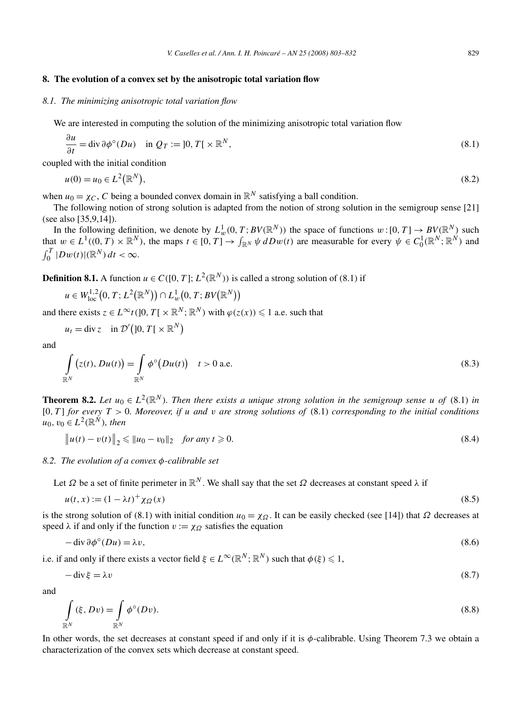## **8. The evolution of a convex set by the anisotropic total variation flow**

## *8.1. The minimizing anisotropic total variation flow*

We are interested in computing the solution of the minimizing anisotropic total variation flow

$$
\frac{\partial u}{\partial t} = \text{div}\,\partial\phi^{\circ}(Du) \quad \text{in } Q_T := ]0, T[ \times \mathbb{R}^N, \tag{8.1}
$$

coupled with the initial condition

$$
u(0) = u_0 \in L^2(\mathbb{R}^N),
$$
\n(8.2)

when  $u_0 = \chi_C$ , *C* being a bounded convex domain in  $\mathbb{R}^N$  satisfying a ball condition.

The following notion of strong solution is adapted from the notion of strong solution in the semigroup sense [21] (see also [35,9,14]).

In the following definition, we denote by  $L_w^1(0,T;BV(\mathbb{R}^N))$  the space of functions  $w:[0,T] \to BV(\mathbb{R}^N)$  such that  $w \in L^1((0, T) \times \mathbb{R}^N)$ , the maps  $t \in [0, T] \to \int_{\mathbb{R}^N} \psi \, dDw(t)$  are measurable for every  $\psi \in C_0^1(\mathbb{R}^N; \mathbb{R}^N)$  and  $\int_0^T |Dw(t)| (\mathbb{R}^N) dt < \infty.$ 

**Definition 8.1.** A function  $u \in C([0, T]; L^2(\mathbb{R}^N))$  is called a strong solution of (8.1) if

$$
u \in W^{1,2}_{loc}(0,T;L^2(\mathbb{R}^N)) \cap L^1_w(0,T;BV(\mathbb{R}^N))
$$

and there exists  $z \in L^{\infty}t(]0, T[ \times \mathbb{R}^{N}; \mathbb{R}^{N})$  with  $\varphi(z(x)) \leq 1$  a.e. such that

$$
u_t = \text{div}\, z \quad \text{in } \mathcal{D}'\big(]0, T[ \times \mathbb{R}^N \big)
$$

and

$$
\int_{\mathbb{R}^N} (z(t), Du(t)) = \int_{\mathbb{R}^N} \phi^{\circ}(Du(t)) \quad t > 0 \text{ a.e.}
$$
\n(8.3)

**Theorem 8.2.** *Let*  $u_0 \in L^2(\mathbb{R}^N)$ *. Then there exists a unique strong solution in the semigroup sense u of* (8.1) *in* [0*,T* ] *for every T >* 0*. Moreover, if u and v are strong solutions of* (8.1) *corresponding to the initial conditions*  $u_0, v_0 \in L^2(\mathbb{R}^N)$ , then

$$
\|u(t) - v(t)\|_2 \le \|u_0 - v_0\|_2 \quad \text{for any } t \ge 0.
$$
\n(8.4)

*8.2. The evolution of a convex φ-calibrable set*

Let  $\Omega$  be a set of finite perimeter in  $\mathbb{R}^N$ . We shall say that the set  $\Omega$  decreases at constant speed  $\lambda$  if

$$
u(t,x) := (1 - \lambda t)^{+} \chi_{\Omega}(x) \tag{8.5}
$$

is the strong solution of (8.1) with initial condition  $u_0 = \chi_{\Omega}$ . It can be easily checked (see [14]) that  $\Omega$  decreases at speed  $\lambda$  if and only if the function  $v := \chi_{\Omega}$  satisfies the equation

$$
-\operatorname{div}\partial\phi^{\circ}(Du) = \lambda v,\tag{8.6}
$$

i.e. if and only if there exists a vector field  $\xi \in L^{\infty}(\mathbb{R}^N;\mathbb{R}^N)$  such that  $\phi(\xi) \leq 1$ ,

$$
-\operatorname{div}\xi = \lambda v \tag{8.7}
$$

and

$$
\int_{\mathbb{R}^N} (\xi, Dv) = \int_{\mathbb{R}^N} \phi^{\circ}(Dv).
$$
\n(8.8)

In other words, the set decreases at constant speed if and only if it is *φ*-calibrable. Using Theorem 7.3 we obtain a characterization of the convex sets which decrease at constant speed.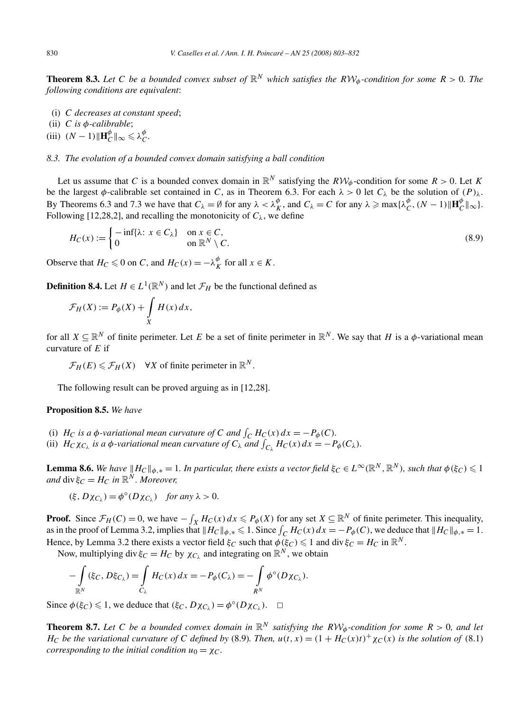**Theorem 8.3.** Let C be a bounded convex subset of  $\mathbb{R}^N$  which satisfies the  $\mathbb{R}^N\mathcal{W}_{\phi}$ -condition for some  $R > 0$ . The *following conditions are equivalent*:

- (i) *C decreases at constant speed*;
- (ii) *C is φ-calibrable*;
- (iii)  $(N-1)\|\mathbf{H}_{C}^{\phi}\|_{\infty} \le \lambda_{C}^{\phi}$ .

# *8.3. The evolution of a bounded convex domain satisfying a ball condition*

Let us assume that *C* is a bounded convex domain in  $\mathbb{R}^N$  satisfying the  $R\mathcal{W}_{\phi}$ -condition for some  $R > 0$ . Let *K* be the largest  $\phi$ -calibrable set contained in *C*, as in Theorem 6.3. For each  $\lambda > 0$  let  $C_{\lambda}$  be the solution of  $(P)_{\lambda}$ . By Theorems 6.3 and 7.3 we have that  $C_{\lambda} = \emptyset$  for any  $\lambda < \lambda_K^{\phi}$ , and  $C_{\lambda} = C$  for any  $\lambda \ge \max{\{\lambda_C^{\phi}, (N-1) \| \mathbf{H}_C^{\phi} \|_{\infty}\}}$ . Following [12,28,2], and recalling the monotonicity of  $C_\lambda$ , we define

$$
H_C(x) := \begin{cases} -\inf\{\lambda : x \in C_{\lambda}\} & \text{on } x \in C, \\ 0 & \text{on } \mathbb{R}^N \setminus C. \end{cases}
$$
 (8.9)

Observe that  $H_C \le 0$  on *C*, and  $H_C(x) = -\lambda_K^{\phi}$  for all  $x \in K$ .

**Definition 8.4.** Let  $H \in L^1(\mathbb{R}^N)$  and let  $\mathcal{F}_H$  be the functional defined as

$$
\mathcal{F}_H(X) := P_{\phi}(X) + \int\limits_X H(x) \, dx,
$$

for all  $X \subseteq \mathbb{R}^N$  of finite perimeter. Let *E* be a set of finite perimeter in  $\mathbb{R}^N$ . We say that *H* is a  $\phi$ -variational mean curvature of *E* if

 $\mathcal{F}_H(E) \leq \mathcal{F}_H(X)$   $\forall X$  of finite perimeter in  $\mathbb{R}^N$ .

The following result can be proved arguing as in [12,28].

## **Proposition 8.5.** *We have*

- (i)  $H_C$  *is a*  $\phi$ *-variational mean curvature of C and*  $\int_C H_C(x) dx = -P_\phi(C)$ *.*
- (ii)  $H_C \chi_{C_\lambda}$  *is a*  $\phi$ *-variational mean curvature of*  $C_\lambda$  *and*  $\int_{C_\lambda} H_C(x) dx = -P_\phi(C_\lambda)$ *.*

**Lemma 8.6.** We have  $||H_C||_{\phi,*} = 1$ . In particular, there exists a vector field  $\xi_C \in L^\infty(\mathbb{R}^N, \mathbb{R}^N)$ , such that  $\phi(\xi_C) \leq 1$ *and* div  $\xi_C = H_C$  *in*  $\mathbb{R}^N$ *. Moreover,* 

$$
(\xi, D\chi_{C_{\lambda}}) = \phi^{\circ}(D\chi_{C_{\lambda}}) \quad \text{for any } \lambda > 0.
$$

**Proof.** Since  $\mathcal{F}_H(C) = 0$ , we have  $-\int_X H_C(x) dx \leq P_\phi(X)$  for any set  $X \subseteq \mathbb{R}^N$  of finite perimeter. This inequality, as in the proof of Lemma 3.2, implies that  $||H_C||_{\phi,*} \leq 1$ . Since  $\int_C H_C(x) dx = -P_{\phi}(C)$ , we deduce that  $||H_C||_{\phi,*} = 1$ . Hence, by Lemma 3.2 there exists a vector field  $\xi_C$  such that  $\phi(\xi_C) \leq 1$  and div  $\xi_C = H_C$  in  $\mathbb{R}^N$ .

Now, multiplying div  $\xi_C = H_C$  by  $\chi_{C_\lambda}$  and integrating on  $\mathbb{R}^N$ , we obtain

$$
-\int_{\mathbb{R}^N} (\xi_C, D\xi_{C_\lambda}) = \int_{C_\lambda} H_C(x) dx = -P_\phi(C_\lambda) = -\int_{R^N} \phi^\circ(D\chi_{C_\lambda}).
$$

Since  $\phi(\xi_C) \leq 1$ , we deduce that  $(\xi_C, D\chi_{C_\lambda}) = \phi^\circ(D\chi_{C_\lambda})$ .  $\Box$ 

**Theorem 8.7.** Let C be a bounded convex domain in  $\mathbb{R}^N$  satisfying the  $RV \phi$ -condition for some  $R > 0$ , and let *H<sub>C</sub> be the variational curvature of C defined by* (8.9)*. Then,*  $u(t, x) = (1 + H_C(x)t)^+ \chi_C(x)$  *is the solution of* (8.1) *corresponding to the initial condition*  $u_0 = \chi_C$ .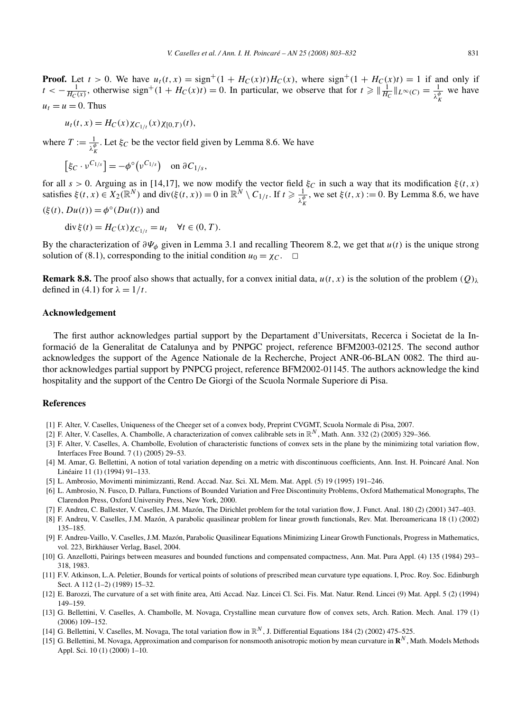**Proof.** Let  $t > 0$ . We have  $u_t(t, x) = sign^+(1 + H_C(x)t)H_C(x)$ , where  $sign^+(1 + H_C(x)t) = 1$  if and only if  $t < -\frac{1}{H_C(x)}$ , otherwise sign<sup>+</sup>(1 +  $H_C(x)t$ ) = 0. In particular, we observe that for  $t \ge \frac{1}{H_C}\|_{L^\infty(C)} = \frac{1}{\lambda_K^{\phi}}$  we have  $u_t = u = 0$ . Thus

$$
u_t(t, x) = H_C(x) \chi_{C_{1/t}}(x) \chi_{[0,T)}(t),
$$

where  $T := \frac{1}{\lambda_K^{\phi}}$ . Let  $\xi_C$  be the vector field given by Lemma 8.6. We have *K*

$$
[\xi_C \cdot \nu^{C_{1/s}}] = -\phi^{\circ}(\nu^{C_{1/s}}) \quad \text{on } \partial C_{1/s},
$$

for all  $s > 0$ . Arguing as in [14,17], we now modify the vector field  $\xi_C$  in such a way that its modification  $\xi(t, x)$ satisfies  $\xi(t, x) \in X_2(\mathbb{R}^N)$  and div $(\xi(t, x)) = 0$  in  $\mathbb{R}^N \setminus C_{1/t}$ . If  $t \geq \frac{1}{\lambda_K^{\phi}}$ , we set  $\xi(t, x) := 0$ . By Lemma 8.6, we have

$$
(\xi(t), Du(t)) = \phi^{\circ}(Du(t))
$$
 and

$$
\operatorname{div}\xi(t) = H_C(x)\chi_{C_{1/t}} = u_t \quad \forall t \in (0, T).
$$

By the characterization of *∂Ψφ* given in Lemma 3.1 and recalling Theorem 8.2, we get that *u(t)* is the unique strong solution of (8.1), corresponding to the initial condition  $u_0 = \chi_C$ .  $\Box$ 

**Remark 8.8.** The proof also shows that actually, for a convex initial data,  $u(t, x)$  is the solution of the problem  $(Q)$ <sub>λ</sub> defined in (4.1) for  $\lambda = 1/t$ .

#### **Acknowledgement**

The first author acknowledges partial support by the Departament d'Universitats, Recerca i Societat de la Informació de la Generalitat de Catalunya and by PNPGC project, reference BFM2003-02125. The second author acknowledges the support of the Agence Nationale de la Recherche, Project ANR-06-BLAN 0082. The third author acknowledges partial support by PNPCG project, reference BFM2002-01145. The authors acknowledge the kind hospitality and the support of the Centro De Giorgi of the Scuola Normale Superiore di Pisa.

#### **References**

- [1] F. Alter, V. Caselles, Uniqueness of the Cheeger set of a convex body, Preprint CVGMT, Scuola Normale di Pisa, 2007.
- [2] F. Alter, V. Caselles, A. Chambolle, A characterization of convex calibrable sets in  $\mathbb{R}^N$ , Math. Ann. 332 (2) (2005) 329–366.
- [3] F. Alter, V. Caselles, A. Chambolle, Evolution of characteristic functions of convex sets in the plane by the minimizing total variation flow, Interfaces Free Bound. 7 (1) (2005) 29–53.
- [4] M. Amar, G. Bellettini, A notion of total variation depending on a metric with discontinuous coefficients, Ann. Inst. H. Poincaré Anal. Non Linéaire 11 (1) (1994) 91–133.
- [5] L. Ambrosio, Movimenti minimizzanti, Rend. Accad. Naz. Sci. XL Mem. Mat. Appl. (5) 19 (1995) 191–246.
- [6] L. Ambrosio, N. Fusco, D. Pallara, Functions of Bounded Variation and Free Discontinuity Problems, Oxford Mathematical Monographs, The Clarendon Press, Oxford University Press, New York, 2000.
- [7] F. Andreu, C. Ballester, V. Caselles, J.M. Mazón, The Dirichlet problem for the total variation flow, J. Funct. Anal. 180 (2) (2001) 347–403.
- [8] F. Andreu, V. Caselles, J.M. Mazón, A parabolic quasilinear problem for linear growth functionals, Rev. Mat. Iberoamericana 18 (1) (2002) 135–185.
- [9] F. Andreu-Vaillo, V. Caselles, J.M. Mazón, Parabolic Quasilinear Equations Minimizing Linear Growth Functionals, Progress in Mathematics, vol. 223, Birkhäuser Verlag, Basel, 2004.
- [10] G. Anzellotti, Pairings between measures and bounded functions and compensated compactness, Ann. Mat. Pura Appl. (4) 135 (1984) 293– 318, 1983.
- [11] F.V. Atkinson, L.A. Peletier, Bounds for vertical points of solutions of prescribed mean curvature type equations. I, Proc. Roy. Soc. Edinburgh Sect. A 112 (1–2) (1989) 15–32.
- [12] E. Barozzi, The curvature of a set with finite area, Atti Accad. Naz. Lincei Cl. Sci. Fis. Mat. Natur. Rend. Lincei (9) Mat. Appl. 5 (2) (1994) 149–159.
- [13] G. Bellettini, V. Caselles, A. Chambolle, M. Novaga, Crystalline mean curvature flow of convex sets, Arch. Ration. Mech. Anal. 179 (1) (2006) 109–152.
- [14] G. Bellettini, V. Caselles, M. Novaga, The total variation flow in R*<sup>N</sup>* , J. Differential Equations 184 (2) (2002) 475–525.
- [15] G. Bellettini, M. Novaga, Approximation and comparison for nonsmooth anisotropic motion by mean curvature in **R***<sup>N</sup>* , Math. Models Methods Appl. Sci. 10 (1) (2000) 1–10.